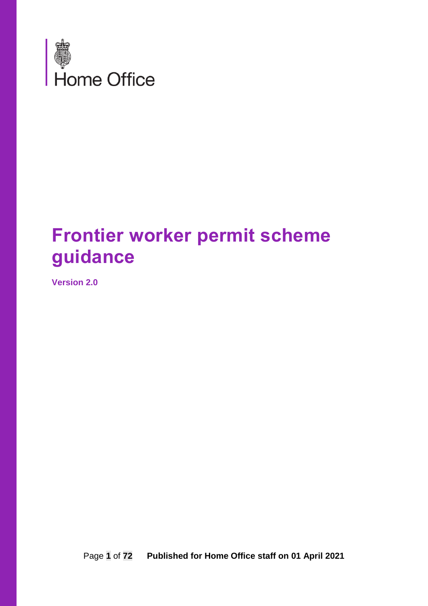

# **Frontier worker permit scheme guidance**

**Version 2.0**

Page **1** of **72 Published for Home Office staff on 01 April 2021**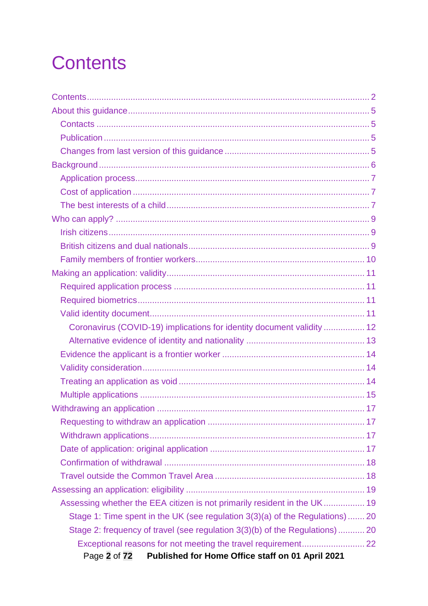# <span id="page-1-0"></span>**Contents**

| Coronavirus (COVID-19) implications for identity document validity  12        |
|-------------------------------------------------------------------------------|
|                                                                               |
|                                                                               |
|                                                                               |
|                                                                               |
|                                                                               |
|                                                                               |
|                                                                               |
|                                                                               |
|                                                                               |
|                                                                               |
|                                                                               |
|                                                                               |
| Assessing whether the EEA citizen is not primarily resident in the UK 19      |
| Stage 1: Time spent in the UK (see regulation 3(3)(a) of the Regulations)  20 |
| Stage 2: frequency of travel (see regulation 3(3)(b) of the Regulations)  20  |
|                                                                               |
| Published for Home Office staff on 01 April 2021<br>Page 2 of 72              |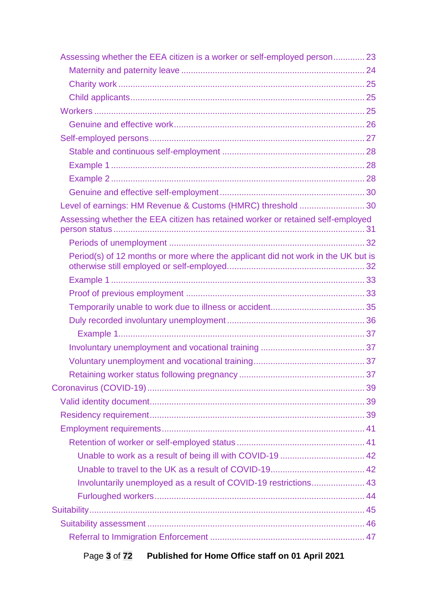| Assessing whether the EEA citizen is a worker or self-employed person 23         |  |
|----------------------------------------------------------------------------------|--|
|                                                                                  |  |
|                                                                                  |  |
|                                                                                  |  |
|                                                                                  |  |
|                                                                                  |  |
|                                                                                  |  |
|                                                                                  |  |
|                                                                                  |  |
|                                                                                  |  |
|                                                                                  |  |
| Level of earnings: HM Revenue & Customs (HMRC) threshold  30                     |  |
| Assessing whether the EEA citizen has retained worker or retained self-employed  |  |
|                                                                                  |  |
| Period(s) of 12 months or more where the applicant did not work in the UK but is |  |
|                                                                                  |  |
|                                                                                  |  |
|                                                                                  |  |
|                                                                                  |  |
|                                                                                  |  |
|                                                                                  |  |
|                                                                                  |  |
|                                                                                  |  |
|                                                                                  |  |
|                                                                                  |  |
|                                                                                  |  |
|                                                                                  |  |
|                                                                                  |  |
| Unable to work as a result of being ill with COVID-19  42                        |  |
|                                                                                  |  |
| Involuntarily unemployed as a result of COVID-19 restrictions 43                 |  |
|                                                                                  |  |
|                                                                                  |  |
|                                                                                  |  |
|                                                                                  |  |
|                                                                                  |  |

# Page **3** of **72 Published for Home Office staff on 01 April 2021**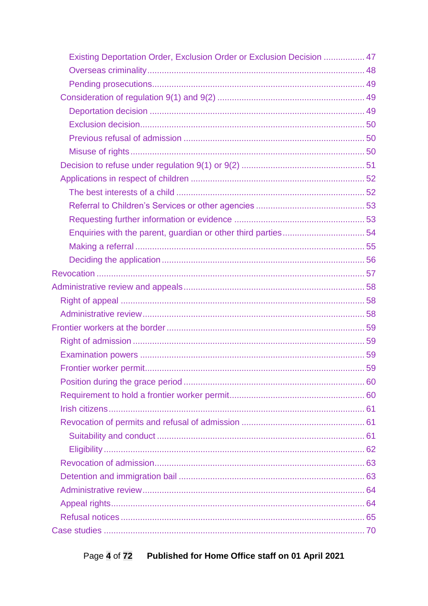| Existing Deportation Order, Exclusion Order or Exclusion Decision  47 |  |
|-----------------------------------------------------------------------|--|
|                                                                       |  |
|                                                                       |  |
|                                                                       |  |
|                                                                       |  |
|                                                                       |  |
|                                                                       |  |
|                                                                       |  |
|                                                                       |  |
|                                                                       |  |
|                                                                       |  |
|                                                                       |  |
|                                                                       |  |
|                                                                       |  |
|                                                                       |  |
|                                                                       |  |
|                                                                       |  |
|                                                                       |  |
|                                                                       |  |
|                                                                       |  |
|                                                                       |  |
|                                                                       |  |
|                                                                       |  |
|                                                                       |  |
|                                                                       |  |
|                                                                       |  |
|                                                                       |  |
|                                                                       |  |
|                                                                       |  |
|                                                                       |  |
|                                                                       |  |
|                                                                       |  |
|                                                                       |  |
|                                                                       |  |
|                                                                       |  |
|                                                                       |  |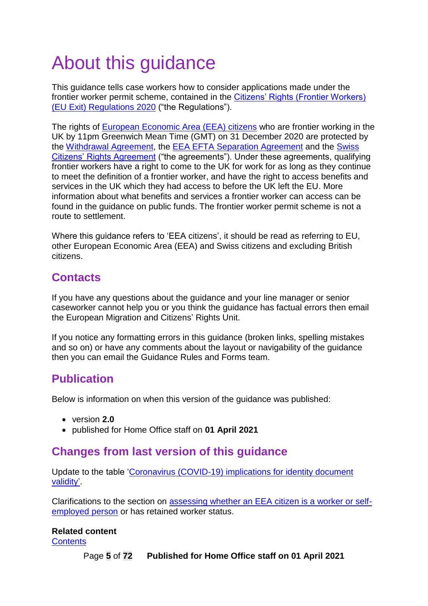# <span id="page-4-0"></span>About this guidance

This guidance tells case workers how to consider applications made under the frontier worker permit scheme, contained in the [Citizens' Rights \(Frontier Workers\)](https://www.legislation.gov.uk/uksi/2020/1213/made)  [\(EU Exit\) Regulations 2020](https://www.legislation.gov.uk/uksi/2020/1213/made) ("the Regulations").

The rights of [European Economic Area \(EEA\)](https://www.gov.uk/eu-eea) citizens who are frontier working in the UK by 11pm Greenwich Mean Time (GMT) on 31 December 2020 are protected by the [Withdrawal Agreement,](https://eur-lex.europa.eu/legal-content/EN/TXT/HTML/?uri=CELEX:12020W/TXT&from=EN) the [EEA EFTA Separation Agreement](https://www.gov.uk/government/publications/eea-efta-separation-agreement-and-explainer) and the [Swiss](https://www.gov.uk/government/publications/cs-switzerland-no52019-ukswitzerland-agreement-on-citizens-rights-following-withdrawal-of-uk-from-the-eu-and-free-movement-of-persons-agreement)  [Citizens' Rights Agreement](https://www.gov.uk/government/publications/cs-switzerland-no52019-ukswitzerland-agreement-on-citizens-rights-following-withdrawal-of-uk-from-the-eu-and-free-movement-of-persons-agreement) ("the agreements"). Under these agreements, qualifying frontier workers have a right to come to the UK for work for as long as they continue to meet the definition of a frontier worker, and have the right to access benefits and services in the UK which they had access to before the UK left the EU. More information about what benefits and services a frontier worker can access can be found in the guidance on public funds. The frontier worker permit scheme is not a route to settlement.

Where this guidance refers to 'EEA citizens', it should be read as referring to EU, other European Economic Area (EEA) and Swiss citizens and excluding British citizens.

# <span id="page-4-1"></span>**Contacts**

If you have any questions about the guidance and your line manager or senior caseworker cannot help you or you think the guidance has factual errors then email the European Migration and Citizens' Rights Unit.

If you notice any formatting errors in this guidance (broken links, spelling mistakes and so on) or have any comments about the layout or navigability of the guidance then you can email the Guidance Rules and Forms team.

# <span id="page-4-2"></span>**Publication**

Below is information on when this version of the guidance was published:

- version **2.0**
- published for Home Office staff on **01 April 2021**

## <span id="page-4-3"></span>**Changes from last version of this guidance**

Update to the table ['Coronavirus \(COVID-19\) implications for identity document](#page-11-0)  [validity'.](#page-11-0)

Clarifications to the section on [assessing whether an EEA citizen is a worker or self](#page-22-0)[employed](#page-22-0) person or has retained worker status.

#### **Related content**

**[Contents](#page-1-0)**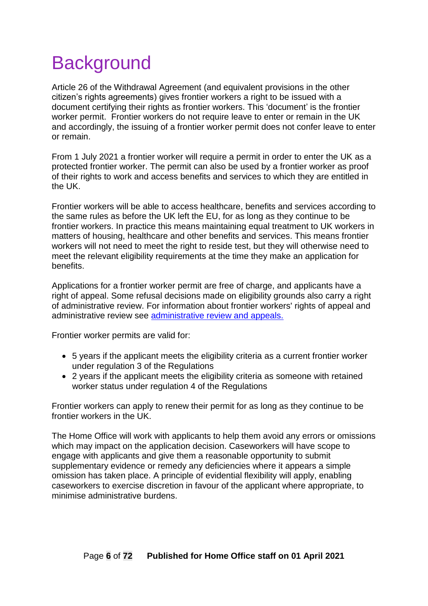# <span id="page-5-0"></span>**Background**

Article 26 of the Withdrawal Agreement (and equivalent provisions in the other citizen's rights agreements) gives frontier workers a right to be issued with a document certifying their rights as frontier workers. This 'document' is the frontier worker permit. Frontier workers do not require leave to enter or remain in the UK and accordingly, the issuing of a frontier worker permit does not confer leave to enter or remain.

From 1 July 2021 a frontier worker will require a permit in order to enter the UK as a protected frontier worker. The permit can also be used by a frontier worker as proof of their rights to work and access benefits and services to which they are entitled in the UK.

Frontier workers will be able to access healthcare, benefits and services according to the same rules as before the UK left the EU, for as long as they continue to be frontier workers. In practice this means maintaining equal treatment to UK workers in matters of housing, healthcare and other benefits and services. This means frontier workers will not need to meet the right to reside test, but they will otherwise need to meet the relevant eligibility requirements at the time they make an application for benefits.

Applications for a frontier worker permit are free of charge, and applicants have a right of appeal. Some refusal decisions made on eligibility grounds also carry a right of administrative review. For information about frontier workers' rights of appeal and administrative review see [administrative review and appeals.](#page-57-0) 

Frontier worker permits are valid for:

- 5 years if the applicant meets the eligibility criteria as a current frontier worker under regulation 3 of the Regulations
- 2 years if the applicant meets the eligibility criteria as someone with retained worker status under regulation 4 of the Regulations

Frontier workers can apply to renew their permit for as long as they continue to be frontier workers in the UK.

The Home Office will work with applicants to help them avoid any errors or omissions which may impact on the application decision. Caseworkers will have scope to engage with applicants and give them a reasonable opportunity to submit supplementary evidence or remedy any deficiencies where it appears a simple omission has taken place. A principle of evidential flexibility will apply, enabling caseworkers to exercise discretion in favour of the applicant where appropriate, to minimise administrative burdens.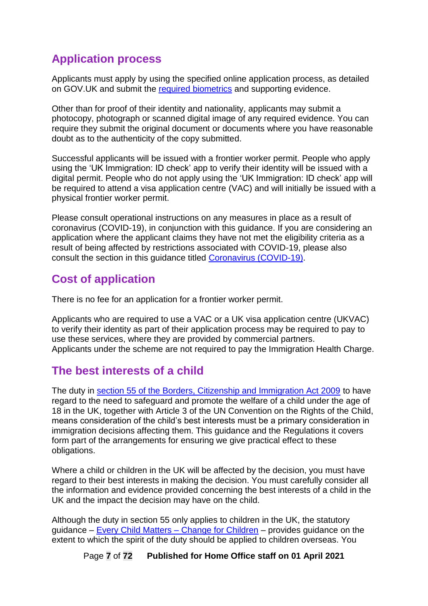# <span id="page-6-0"></span>**Application process**

Applicants must apply by using the specified online application process, as detailed on GOV.UK and submit the [required biometrics](#page-13-0) and supporting evidence.

Other than for proof of their identity and nationality, applicants may submit a photocopy, photograph or scanned digital image of any required evidence. You can require they submit the original document or documents where you have reasonable doubt as to the authenticity of the copy submitted.

Successful applicants will be issued with a frontier worker permit. People who apply using the 'UK Immigration: ID check' app to verify their identity will be issued with a digital permit. People who do not apply using the 'UK Immigration: ID check' app will be required to attend a visa application centre (VAC) and will initially be issued with a physical frontier worker permit.

Please consult operational instructions on any measures in place as a result of coronavirus (COVID-19), in conjunction with this guidance. If you are considering an application where the applicant claims they have not met the eligibility criteria as a result of being affected by restrictions associated with COVID-19, please also consult the section in this guidance titled [Coronavirus \(COVID-19\).](#page-37-0)

# <span id="page-6-1"></span>**Cost of application**

There is no fee for an application for a frontier worker permit.

Applicants who are required to use a VAC or a UK visa application centre (UKVAC) to verify their identity as part of their application process may be required to pay to use these services, where they are provided by commercial partners. Applicants under the scheme are not required to pay the Immigration Health Charge.

# <span id="page-6-2"></span>**The best interests of a child**

The duty in [section 55 of the Borders, Citizenship and Immigration Act 2009](https://www.legislation.gov.uk/ukpga/2009/11/section/55) to have regard to the need to safeguard and promote the welfare of a child under the age of 18 in the UK, together with Article 3 of the UN Convention on the Rights of the Child, means consideration of the child's best interests must be a primary consideration in immigration decisions affecting them. This guidance and the Regulations it covers form part of the arrangements for ensuring we give practical effect to these obligations.

Where a child or children in the UK will be affected by the decision, you must have regard to their best interests in making the decision. You must carefully consider all the information and evidence provided concerning the best interests of a child in the UK and the impact the decision may have on the child.

Although the duty in section 55 only applies to children in the UK, the statutory guidance – [Every Child Matters –](https://www.gov.uk/government/publications/every-child-matters-statutory-guidance) Change for Children – provides guidance on the extent to which the spirit of the duty should be applied to children overseas. You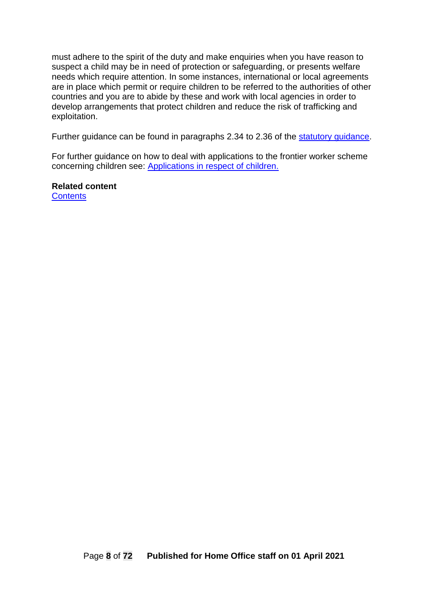must adhere to the spirit of the duty and make enquiries when you have reason to suspect a child may be in need of protection or safeguarding, or presents welfare needs which require attention. In some instances, international or local agreements are in place which permit or require children to be referred to the authorities of other countries and you are to abide by these and work with local agencies in order to develop arrangements that protect children and reduce the risk of trafficking and exploitation.

Further guidance can be found in paragraphs 2.34 to 2.36 of the [statutory guidance.](https://www.gov.uk/government/publications/every-child-matters-statutory-guidance)

For further guidance on how to deal with applications to the frontier worker scheme concerning children see: [Applications in respect of children.](#page-51-0)

**Related content [Contents](#page-1-0)**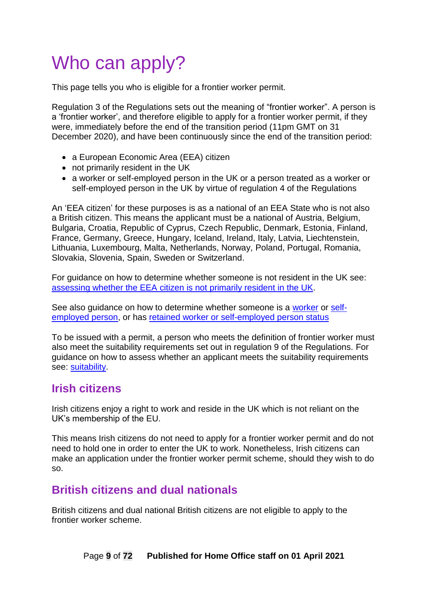# <span id="page-8-0"></span>Who can apply?

This page tells you who is eligible for a frontier worker permit.

Regulation 3 of the Regulations sets out the meaning of "frontier worker". A person is a 'frontier worker', and therefore eligible to apply for a frontier worker permit, if they were, immediately before the end of the transition period (11pm GMT on 31 December 2020), and have been continuously since the end of the transition period:

- a European Economic Area (EEA) citizen
- not primarily resident in the UK
- a worker or self-employed person in the UK or a person treated as a worker or self-employed person in the UK by virtue of regulation 4 of the Regulations

An 'EEA citizen' for these purposes is as a national of an EEA State who is not also a British citizen. This means the applicant must be a national of Austria, Belgium, Bulgaria, Croatia, Republic of Cyprus, Czech Republic, Denmark, Estonia, Finland, France, Germany, Greece, Hungary, Iceland, Ireland, Italy, Latvia, Liechtenstein, Lithuania, Luxembourg, Malta, Netherlands, Norway, Poland, Portugal, Romania, Slovakia, Slovenia, Spain, Sweden or Switzerland.

For guidance on how to determine whether someone is not resident in the UK see: [assessing whether the EEA citizen](#page-18-1) is not primarily resident in the UK.

See also guidance on how to determine whether someone is a [worker](#page-24-2) or [self](#page-26-0)[employed person,](#page-26-0) or has [retained worker or self-employed person status](#page-30-1)

To be issued with a permit, a person who meets the definition of frontier worker must also meet the suitability requirements set out in regulation 9 of the Regulations. For guidance on how to assess whether an applicant meets the suitability requirements see: [suitability.](#page-44-0)

### <span id="page-8-1"></span>**Irish citizens**

Irish citizens enjoy a right to work and reside in the UK which is not reliant on the UK's membership of the EU.

This means Irish citizens do not need to apply for a frontier worker permit and do not need to hold one in order to enter the UK to work. Nonetheless, Irish citizens can make an application under the frontier worker permit scheme, should they wish to do so.

# <span id="page-8-2"></span>**British citizens and dual nationals**

British citizens and dual national British citizens are not eligible to apply to the frontier worker scheme.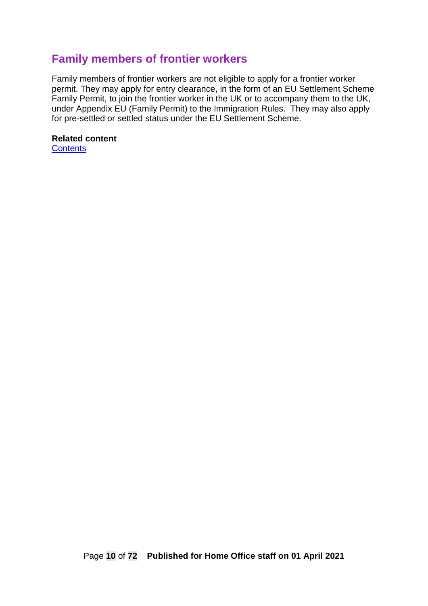## <span id="page-9-0"></span>**Family members of frontier workers**

Family members of frontier workers are not eligible to apply for a frontier worker permit. They may apply for entry clearance, in the form of an EU Settlement Scheme Family Permit, to join the frontier worker in the UK or to accompany them to the UK, under Appendix EU (Family Permit) to the Immigration Rules. They may also apply for pre-settled or settled status under the EU Settlement Scheme.

#### **Related content [Contents](#page-1-0)**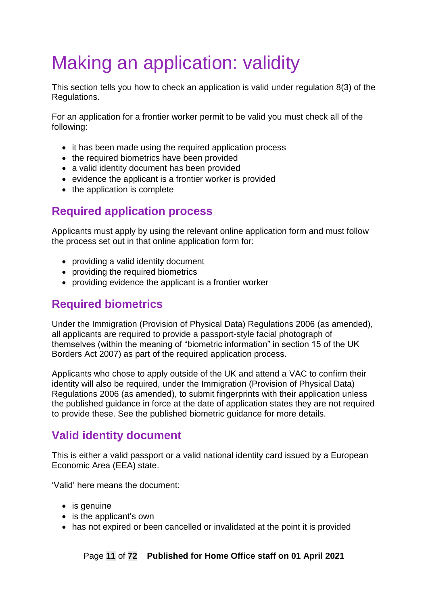# <span id="page-10-0"></span>Making an application: validity

This section tells you how to check an application is valid under regulation 8(3) of the Regulations.

For an application for a frontier worker permit to be valid you must check all of the following:

- it has been made using the required application process
- the required biometrics have been provided
- a valid identity document has been provided
- evidence the applicant is a frontier worker is provided
- the application is complete

## <span id="page-10-1"></span>**Required application process**

Applicants must apply by using the relevant online application form and must follow the process set out in that online application form for:

- providing a valid identity document
- providing the required biometrics
- providing evidence the applicant is a frontier worker

## <span id="page-10-2"></span>**Required biometrics**

Under the Immigration (Provision of Physical Data) Regulations 2006 (as amended), all applicants are required to provide a passport-style facial photograph of themselves (within the meaning of "biometric information" in section 15 of the UK Borders Act 2007) as part of the required application process.

Applicants who chose to apply outside of the UK and attend a VAC to confirm their identity will also be required, under the Immigration (Provision of Physical Data) Regulations 2006 (as amended), to submit fingerprints with their application unless the published guidance in force at the date of application states they are not required to provide these. See the published biometric guidance for more details.

# <span id="page-10-3"></span>**Valid identity document**

This is either a valid passport or a valid national identity card issued by a European Economic Area (EEA) state.

'Valid' here means the document:

- is genuine
- is the applicant's own
- has not expired or been cancelled or invalidated at the point it is provided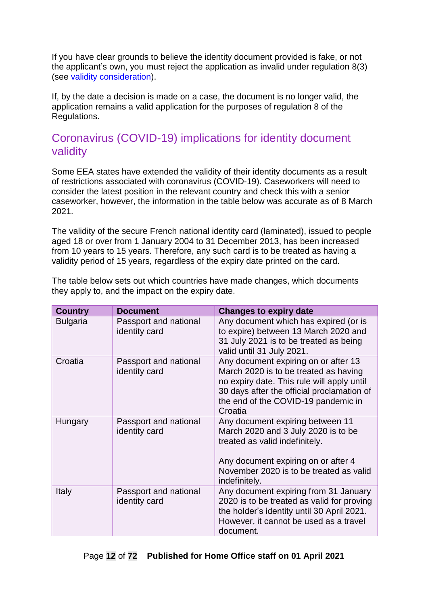If you have clear grounds to believe the identity document provided is fake, or not the applicant's own, you must reject the application as invalid under regulation 8(3) (see [validity consideration\)](#page-13-1).

If, by the date a decision is made on a case, the document is no longer valid, the application remains a valid application for the purposes of regulation 8 of the Regulations.

## <span id="page-11-0"></span>Coronavirus (COVID-19) implications for identity document validity

Some EEA states have extended the validity of their identity documents as a result of restrictions associated with coronavirus (COVID-19). Caseworkers will need to consider the latest position in the relevant country and check this with a senior caseworker, however, the information in the table below was accurate as of 8 March 2021.

The validity of the secure French national identity card (laminated), issued to people aged 18 or over from 1 January 2004 to 31 December 2013, has been increased from 10 years to 15 years. Therefore, any such card is to be treated as having a validity period of 15 years, regardless of the expiry date printed on the card.

**Country Document Changes to expiry date** Bulgaria Passport and national identity card Any document which has expired (or is to expire) between 13 March 2020 and 31 July 2021 is to be treated as being valid until 31 July 2021. Croatia | Passport and national identity card Any document expiring on or after 13 March 2020 is to be treated as having no expiry date. This rule will apply until 30 days after the official proclamation of the end of the COVID-19 pandemic in **Croatia** Hungary Passport and national identity card Any document expiring between 11 March 2020 and 3 July 2020 is to be treated as valid indefinitely. Any document expiring on or after 4 November 2020 is to be treated as valid indefinitely. Italy Passport and national Any document expiring from 31 January

The table below sets out which countries have made changes, which documents they apply to, and the impact on the expiry date.

document.

2020 is to be treated as valid for proving the holder's identity until 30 April 2021. However, it cannot be used as a travel

identity card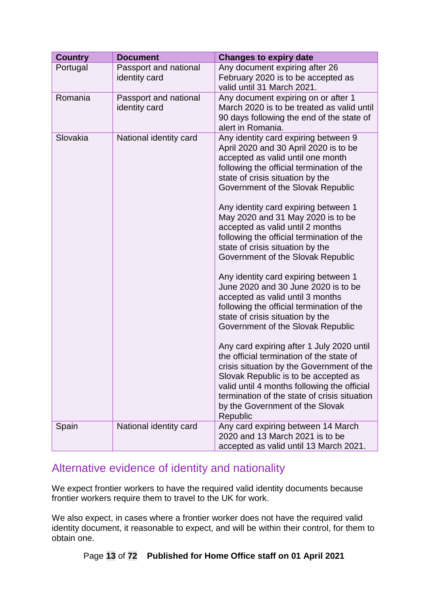| <b>Country</b> | <b>Document</b>                        | <b>Changes to expiry date</b>                                                                                                                                                                                                                                                                                                                                                                                                                                                                                                                                                                                                                                                                                                                                                                                                                                                                                                                                                                                                            |
|----------------|----------------------------------------|------------------------------------------------------------------------------------------------------------------------------------------------------------------------------------------------------------------------------------------------------------------------------------------------------------------------------------------------------------------------------------------------------------------------------------------------------------------------------------------------------------------------------------------------------------------------------------------------------------------------------------------------------------------------------------------------------------------------------------------------------------------------------------------------------------------------------------------------------------------------------------------------------------------------------------------------------------------------------------------------------------------------------------------|
| Portugal       | Passport and national<br>identity card | Any document expiring after 26<br>February 2020 is to be accepted as<br>valid until 31 March 2021.                                                                                                                                                                                                                                                                                                                                                                                                                                                                                                                                                                                                                                                                                                                                                                                                                                                                                                                                       |
| Romania        | Passport and national<br>identity card | Any document expiring on or after 1<br>March 2020 is to be treated as valid until<br>90 days following the end of the state of<br>alert in Romania.                                                                                                                                                                                                                                                                                                                                                                                                                                                                                                                                                                                                                                                                                                                                                                                                                                                                                      |
| Slovakia       | National identity card                 | Any identity card expiring between 9<br>April 2020 and 30 April 2020 is to be<br>accepted as valid until one month<br>following the official termination of the<br>state of crisis situation by the<br>Government of the Slovak Republic<br>Any identity card expiring between 1<br>May 2020 and 31 May 2020 is to be<br>accepted as valid until 2 months<br>following the official termination of the<br>state of crisis situation by the<br>Government of the Slovak Republic<br>Any identity card expiring between 1<br>June 2020 and 30 June 2020 is to be<br>accepted as valid until 3 months<br>following the official termination of the<br>state of crisis situation by the<br>Government of the Slovak Republic<br>Any card expiring after 1 July 2020 until<br>the official termination of the state of<br>crisis situation by the Government of the<br>Slovak Republic is to be accepted as<br>valid until 4 months following the official<br>termination of the state of crisis situation<br>by the Government of the Slovak |
|                |                                        | Republic                                                                                                                                                                                                                                                                                                                                                                                                                                                                                                                                                                                                                                                                                                                                                                                                                                                                                                                                                                                                                                 |
| Spain          | National identity card                 | Any card expiring between 14 March<br>2020 and 13 March 2021 is to be<br>accepted as valid until 13 March 2021.                                                                                                                                                                                                                                                                                                                                                                                                                                                                                                                                                                                                                                                                                                                                                                                                                                                                                                                          |

## <span id="page-12-0"></span>Alternative evidence of identity and nationality

We expect frontier workers to have the required valid identity documents because frontier workers require them to travel to the UK for work.

We also expect, in cases where a frontier worker does not have the required valid identity document, it reasonable to expect, and will be within their control, for them to obtain one.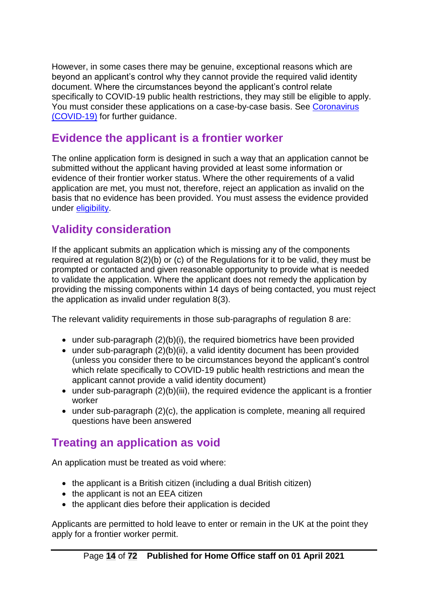However, in some cases there may be genuine, exceptional reasons which are beyond an applicant's control why they cannot provide the required valid identity document. Where the circumstances beyond the applicant's control relate specifically to COVID-19 public health restrictions, they may still be eligible to apply. You must consider these applications on a case-by-case basis. See [Coronavirus](#page-38-1)  [\(COVID-19\)](#page-38-1) for further guidance.

# <span id="page-13-0"></span>**Evidence the applicant is a frontier worker**

The online application form is designed in such a way that an application cannot be submitted without the applicant having provided at least some information or evidence of their frontier worker status. Where the other requirements of a valid application are met, you must not, therefore, reject an application as invalid on the basis that no evidence has been provided. You must assess the evidence provided under [eligibility.](#page-18-0)

# <span id="page-13-1"></span>**Validity consideration**

If the applicant submits an application which is missing any of the components required at regulation 8(2)(b) or (c) of the Regulations for it to be valid, they must be prompted or contacted and given reasonable opportunity to provide what is needed to validate the application. Where the applicant does not remedy the application by providing the missing components within 14 days of being contacted, you must reject the application as invalid under regulation 8(3).

The relevant validity requirements in those sub-paragraphs of regulation 8 are:

- under sub-paragraph (2)(b)(i), the required biometrics have been provided
- under sub-paragraph (2)(b)(ii), a valid identity document has been provided (unless you consider there to be circumstances beyond the applicant's control which relate specifically to COVID-19 public health restrictions and mean the applicant cannot provide a valid identity document)
- under sub-paragraph (2)(b)(iii), the required evidence the applicant is a frontier worker
- under sub-paragraph (2)(c), the application is complete, meaning all required questions have been answered

# <span id="page-13-2"></span>**Treating an application as void**

An application must be treated as void where:

- the applicant is a British citizen (including a dual British citizen)
- the applicant is not an EEA citizen
- the applicant dies before their application is decided

Applicants are permitted to hold leave to enter or remain in the UK at the point they apply for a frontier worker permit.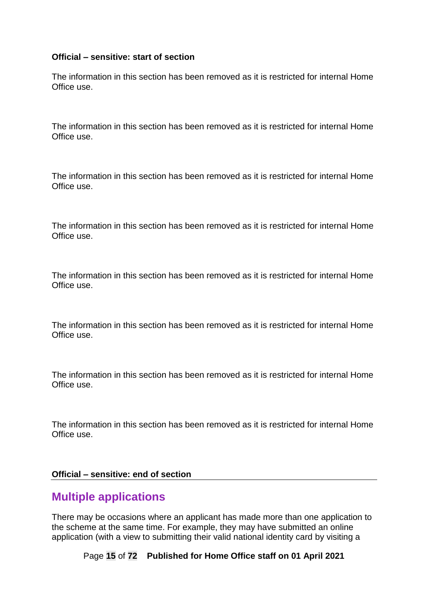#### **Official – sensitive: start of section**

The information in this section has been removed as it is restricted for internal Home Office use.

The information in this section has been removed as it is restricted for internal Home Office use.

The information in this section has been removed as it is restricted for internal Home Office use.

The information in this section has been removed as it is restricted for internal Home Office use.

The information in this section has been removed as it is restricted for internal Home Office use.

The information in this section has been removed as it is restricted for internal Home Office use.

The information in this section has been removed as it is restricted for internal Home Office use.

The information in this section has been removed as it is restricted for internal Home Office use.

#### **Official – sensitive: end of section**

#### <span id="page-14-0"></span>**Multiple applications**

There may be occasions where an applicant has made more than one application to the scheme at the same time. For example, they may have submitted an online application (with a view to submitting their valid national identity card by visiting a

Page **15** of **72 Published for Home Office staff on 01 April 2021**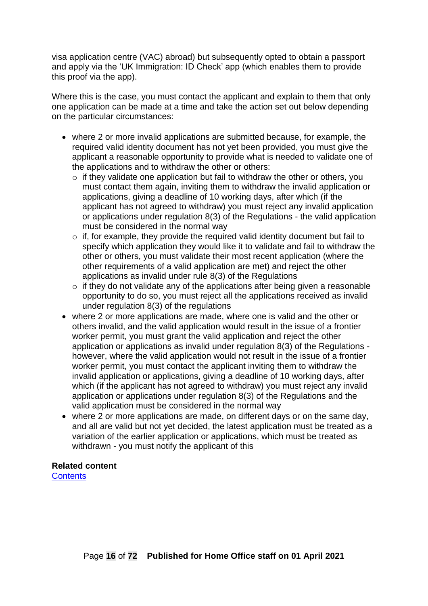visa application centre (VAC) abroad) but subsequently opted to obtain a passport and apply via the 'UK Immigration: ID Check' app (which enables them to provide this proof via the app).

Where this is the case, you must contact the applicant and explain to them that only one application can be made at a time and take the action set out below depending on the particular circumstances:

- where 2 or more invalid applications are submitted because, for example, the required valid identity document has not yet been provided, you must give the applicant a reasonable opportunity to provide what is needed to validate one of the applications and to withdraw the other or others:
	- $\circ$  if they validate one application but fail to withdraw the other or others, you must contact them again, inviting them to withdraw the invalid application or applications, giving a deadline of 10 working days, after which (if the applicant has not agreed to withdraw) you must reject any invalid application or applications under regulation 8(3) of the Regulations - the valid application must be considered in the normal way
	- $\circ$  if, for example, they provide the required valid identity document but fail to specify which application they would like it to validate and fail to withdraw the other or others, you must validate their most recent application (where the other requirements of a valid application are met) and reject the other applications as invalid under rule 8(3) of the Regulations
	- $\circ$  if they do not validate any of the applications after being given a reasonable opportunity to do so, you must reject all the applications received as invalid under regulation 8(3) of the regulations
- where 2 or more applications are made, where one is valid and the other or others invalid, and the valid application would result in the issue of a frontier worker permit, you must grant the valid application and reject the other application or applications as invalid under regulation 8(3) of the Regulations however, where the valid application would not result in the issue of a frontier worker permit, you must contact the applicant inviting them to withdraw the invalid application or applications, giving a deadline of 10 working days, after which (if the applicant has not agreed to withdraw) you must reject any invalid application or applications under regulation 8(3) of the Regulations and the valid application must be considered in the normal way
- where 2 or more applications are made, on different days or on the same day, and all are valid but not yet decided, the latest application must be treated as a variation of the earlier application or applications, which must be treated as withdrawn - you must notify the applicant of this

#### **Related content**

**[Contents](#page-1-0)**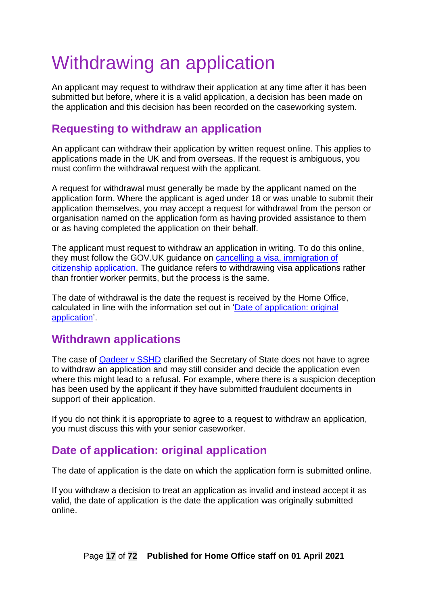# <span id="page-16-0"></span>Withdrawing an application

An applicant may request to withdraw their application at any time after it has been submitted but before, where it is a valid application, a decision has been made on the application and this decision has been recorded on the caseworking system.

# <span id="page-16-1"></span>**Requesting to withdraw an application**

An applicant can withdraw their application by written request online. This applies to applications made in the UK and from overseas. If the request is ambiguous, you must confirm the withdrawal request with the applicant.

A request for withdrawal must generally be made by the applicant named on the application form. Where the applicant is aged under 18 or was unable to submit their application themselves, you may accept a request for withdrawal from the person or organisation named on the application form as having provided assistance to them or as having completed the application on their behalf.

The applicant must request to withdraw an application in writing. To do this online, they must follow the GOV.UK guidance on [cancelling a visa, immigration of](https://www.gov.uk/cancel-visa)  [citizenship application.](https://www.gov.uk/cancel-visa) The guidance refers to withdrawing visa applications rather than frontier worker permits, but the process is the same.

The date of withdrawal is the date the request is received by the Home Office, calculated in line with the information set out in 'Date of application: original application'.

## <span id="page-16-2"></span>**Withdrawn applications**

The case of [Qadeer v SSHD](http://www.bailii.org/ew/cases/EWHC/Admin/2015/505.html) clarified the Secretary of State does not have to agree to withdraw an application and may still consider and decide the application even where this might lead to a refusal. For example, where there is a suspicion deception has been used by the applicant if they have submitted fraudulent documents in support of their application.

If you do not think it is appropriate to agree to a request to withdraw an application, you must discuss this with your senior caseworker.

# <span id="page-16-3"></span>**Date of application: original application**

The date of application is the date on which the application form is submitted online.

If you withdraw a decision to treat an application as invalid and instead accept it as valid, the date of application is the date the application was originally submitted online.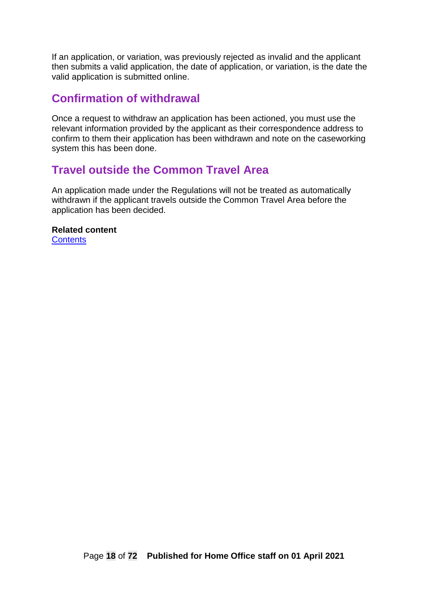If an application, or variation, was previously rejected as invalid and the applicant then submits a valid application, the date of application, or variation, is the date the valid application is submitted online.

#### <span id="page-17-0"></span>**Confirmation of withdrawal**

Once a request to withdraw an application has been actioned, you must use the relevant information provided by the applicant as their correspondence address to confirm to them their application has been withdrawn and note on the caseworking system this has been done.

### <span id="page-17-1"></span>**Travel outside the Common Travel Area**

An application made under the Regulations will not be treated as automatically withdrawn if the applicant travels outside the Common Travel Area before the application has been decided.

**Related content [Contents](#page-1-0)**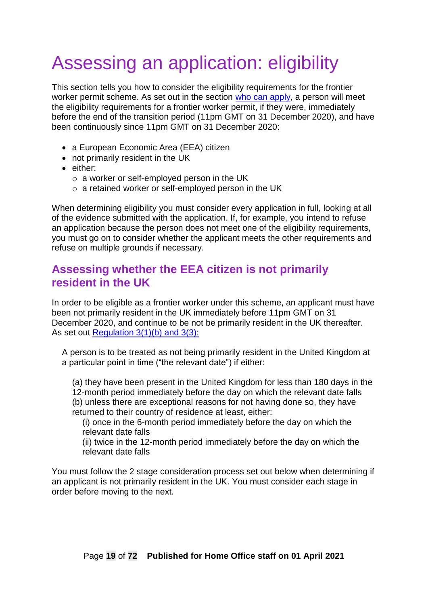# <span id="page-18-0"></span>Assessing an application: eligibility

This section tells you how to consider the eligibility requirements for the frontier worker permit scheme. As set out in the section who can apply, a person will meet the eligibility requirements for a frontier worker permit, if they were, immediately before the end of the transition period (11pm GMT on 31 December 2020), and have been continuously since 11pm GMT on 31 December 2020:

- a European Economic Area (EEA) citizen
- not primarily resident in the UK
- either:
	- o a worker or self-employed person in the UK
	- o a retained worker or self-employed person in the UK

When determining eligibility you must consider every application in full, looking at all of the evidence submitted with the application. If, for example, you intend to refuse an application because the person does not meet one of the eligibility requirements, you must go on to consider whether the applicant meets the other requirements and refuse on multiple grounds if necessary.

### <span id="page-18-1"></span>**Assessing whether the EEA citizen is not primarily resident in the UK**

In order to be eligible as a frontier worker under this scheme, an applicant must have been not primarily resident in the UK immediately before 11pm GMT on 31 December 2020, and continue to be not be primarily resident in the UK thereafter. As set out [Regulation 3\(1\)\(b\) and 3\(3\):](https://www.legislation.gov.uk/uksi/2020/1213/regulation/3/made)

A person is to be treated as not being primarily resident in the United Kingdom at a particular point in time ("the relevant date") if either:

(a) they have been present in the United Kingdom for less than 180 days in the 12-month period immediately before the day on which the relevant date falls (b) unless there are exceptional reasons for not having done so, they have returned to their country of residence at least, either:

(i) once in the 6-month period immediately before the day on which the relevant date falls

(ii) twice in the 12-month period immediately before the day on which the relevant date falls

You must follow the 2 stage consideration process set out below when determining if an applicant is not primarily resident in the UK. You must consider each stage in order before moving to the next.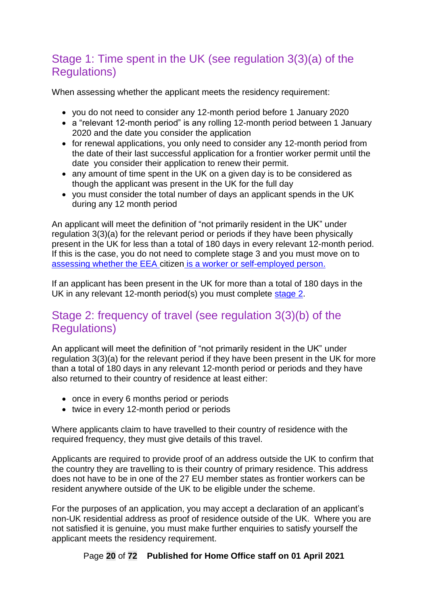# <span id="page-19-0"></span>Stage 1: Time spent in the UK (see regulation 3(3)(a) of the Regulations)

When assessing whether the applicant meets the residency requirement:

- you do not need to consider any 12-month period before 1 January 2020
- a "relevant 12-month period" is any rolling 12-month period between 1 January 2020 and the date you consider the application
- for renewal applications, you only need to consider any 12-month period from the date of their last successful application for a frontier worker permit until the date you consider their application to renew their permit.
- any amount of time spent in the UK on a given day is to be considered as though the applicant was present in the UK for the full day
- you must consider the total number of days an applicant spends in the UK during any 12 month period

An applicant will meet the definition of "not primarily resident in the UK" under regulation 3(3)(a) for the relevant period or periods if they have been physically present in the UK for less than a total of 180 days in every relevant 12-month period. If this is the case, you do not need to complete stage 3 and you must move on to assessing whether the EEA citizen [is a worker or self-employed person.](#page-22-0)

If an applicant has been present in the UK for more than a total of 180 days in the UK in any relevant 12-month period(s) you must complete [stage 2](#page-19-1).

## <span id="page-19-1"></span>Stage 2: frequency of travel (see regulation 3(3)(b) of the Regulations)

An applicant will meet the definition of "not primarily resident in the UK" under regulation 3(3)(a) for the relevant period if they have been present in the UK for more than a total of 180 days in any relevant 12-month period or periods and they have also returned to their country of residence at least either:

- once in every 6 months period or periods
- twice in every 12-month period or periods

Where applicants claim to have travelled to their country of residence with the required frequency, they must give details of this travel.

Applicants are required to provide proof of an address outside the UK to confirm that the country they are travelling to is their country of primary residence. This address does not have to be in one of the 27 EU member states as frontier workers can be resident anywhere outside of the UK to be eligible under the scheme.

For the purposes of an application, you may accept a declaration of an applicant's non-UK residential address as proof of residence outside of the UK. Where you are not satisfied it is genuine, you must make further enquiries to satisfy yourself the applicant meets the residency requirement.

Page **20** of **72 Published for Home Office staff on 01 April 2021**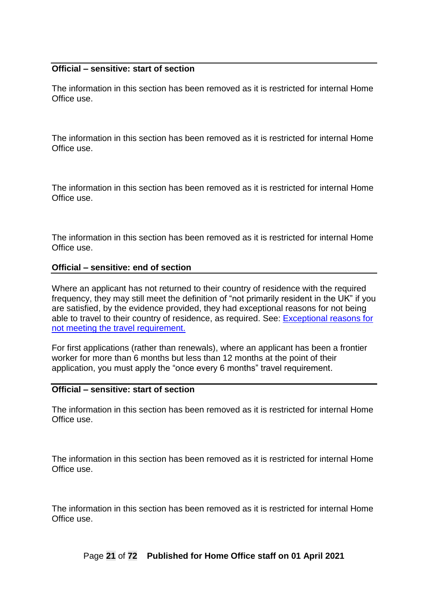#### **Official – sensitive: start of section**

The information in this section has been removed as it is restricted for internal Home Office use.

The information in this section has been removed as it is restricted for internal Home Office use.

The information in this section has been removed as it is restricted for internal Home Office use.

The information in this section has been removed as it is restricted for internal Home Office use.

#### **Official – sensitive: end of section**

Where an applicant has not returned to their country of residence with the required frequency, they may still meet the definition of "not primarily resident in the UK" if you are satisfied, by the evidence provided, they had exceptional reasons for not being able to travel to their country of residence, as required. See: [Exceptional reasons for](#page-21-0)  not [meeting the travel requirement.](#page-21-0)

For first applications (rather than renewals), where an applicant has been a frontier worker for more than 6 months but less than 12 months at the point of their application, you must apply the "once every 6 months" travel requirement.

#### **Official – sensitive: start of section**

The information in this section has been removed as it is restricted for internal Home Office use.

The information in this section has been removed as it is restricted for internal Home Office use.

The information in this section has been removed as it is restricted for internal Home Office use.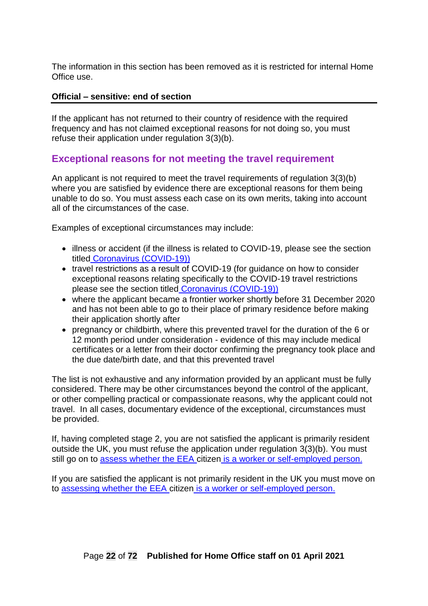The information in this section has been removed as it is restricted for internal Home Office use.

#### **Official – sensitive: end of section**

If the applicant has not returned to their country of residence with the required frequency and has not claimed exceptional reasons for not doing so, you must refuse their application under regulation 3(3)(b).

#### <span id="page-21-0"></span>**Exceptional reasons for not meeting the travel requirement**

An applicant is not required to meet the travel requirements of regulation 3(3)(b) where you are satisfied by evidence there are exceptional reasons for them being unable to do so. You must assess each case on its own merits, taking into account all of the circumstances of the case.

Examples of exceptional circumstances may include:

- illness or accident (if the illness is related to COVID-19, please see the section titled [Coronavirus \(COVID-19\)\)](#page-37-0)
- travel restrictions as a result of COVID-19 (for guidance on how to consider exceptional reasons relating specifically to the COVID-19 travel restrictions please see the section titled [Coronavirus \(COVID-19\)\)](#page-37-0)
- where the applicant became a frontier worker shortly before 31 December 2020 and has not been able to go to their place of primary residence before making their application shortly after
- pregnancy or childbirth, where this prevented travel for the duration of the 6 or 12 month period under consideration - evidence of this may include medical certificates or a letter from their doctor confirming the pregnancy took place and the due date/birth date, and that this prevented travel

The list is not exhaustive and any information provided by an applicant must be fully considered. There may be other circumstances beyond the control of the applicant, or other compelling practical or compassionate reasons, why the applicant could not travel. In all cases, documentary evidence of the exceptional, circumstances must be provided.

If, having completed stage 2, you are not satisfied the applicant is primarily resident outside the UK, you must refuse the application under regulation 3(3)(b). You must still go on to [assess whether the EEA citizen](#page-22-0) is a worker or self-employed person.

If you are satisfied the applicant is not primarily resident in the UK you must move on to assessing whether the EEA citizen [is a worker or self-employed person.](#page-22-0)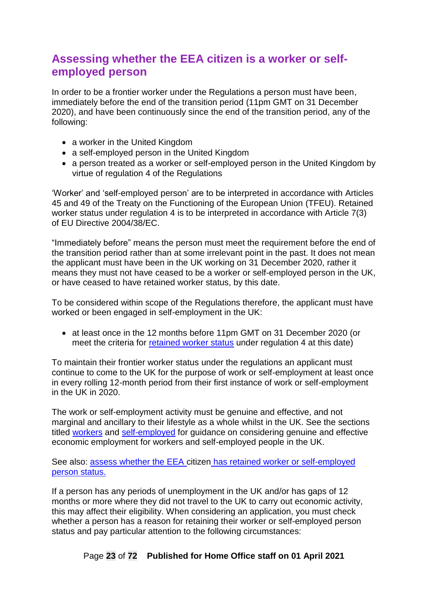# <span id="page-22-0"></span>**Assessing whether the EEA citizen is a worker or selfemployed person**

In order to be a frontier worker under the Regulations a person must have been, immediately before the end of the transition period (11pm GMT on 31 December 2020), and have been continuously since the end of the transition period, any of the following:

- a worker in the United Kingdom
- a self-employed person in the United Kingdom
- a person treated as a worker or self-employed person in the United Kingdom by virtue of regulation 4 of the Regulations

'Worker' and 'self-employed person' are to be interpreted in accordance with Articles 45 and 49 of the Treaty on the Functioning of the European Union (TFEU). Retained worker status under regulation 4 is to be interpreted in accordance with Article 7(3) of EU Directive 2004/38/EC.

"Immediately before" means the person must meet the requirement before the end of the transition period rather than at some irrelevant point in the past. It does not mean the applicant must have been in the UK working on 31 December 2020, rather it means they must not have ceased to be a worker or self-employed person in the UK, or have ceased to have retained worker status, by this date.

To be considered within scope of the Regulations therefore, the applicant must have worked or been engaged in self-employment in the UK:

• at least once in the 12 months before 11pm GMT on 31 December 2020 (or meet the criteria for [retained worker status](#page-30-1) under regulation 4 at this date)

To maintain their frontier worker status under the regulations an applicant must continue to come to the UK for the purpose of work or self-employment at least once in every rolling 12-month period from their first instance of work or self-employment in the UK in 2020.

The work or self-employment activity must be genuine and effective, and not marginal and ancillary to their lifestyle as a whole whilst in the UK. See the sections titled [workers](#page-24-2) and [self-employed](#page-26-0) for guidance on considering genuine and effective economic employment for workers and self-employed people in the UK.

See also: assess whether the EEA citizen [has retained worker or self-employed](#page-30-1)  [person status.](#page-30-1)

If a person has any periods of unemployment in the UK and/or has gaps of 12 months or more where they did not travel to the UK to carry out economic activity, this may affect their eligibility. When considering an application, you must check whether a person has a reason for retaining their worker or self-employed person status and pay particular attention to the following circumstances:

Page **23** of **72 Published for Home Office staff on 01 April 2021**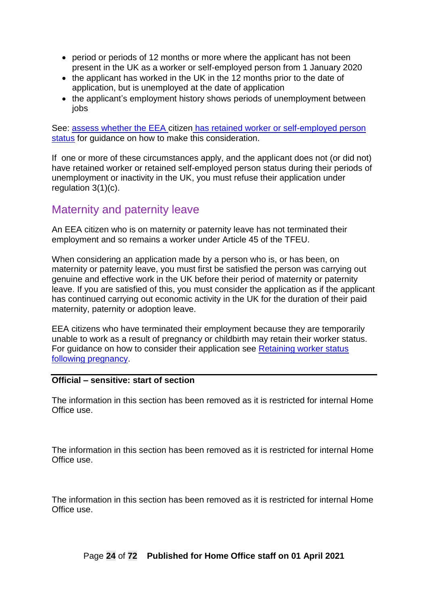- period or periods of 12 months or more where the applicant has not been present in the UK as a worker or self-employed person from 1 January 2020
- the applicant has worked in the UK in the 12 months prior to the date of application, but is unemployed at the date of application
- the applicant's employment history shows periods of unemployment between iobs

See: assess whether the EEA citizen has retained worker or self-employed person [status](#page-30-1) for guidance on how to make this consideration.

If one or more of these circumstances apply, and the applicant does not (or did not) have retained worker or retained self-employed person status during their periods of unemployment or inactivity in the UK, you must refuse their application under regulation 3(1)(c).

## <span id="page-23-0"></span>Maternity and paternity leave

An EEA citizen who is on maternity or paternity leave has not terminated their employment and so remains a worker under Article 45 of the TFEU.

When considering an application made by a person who is, or has been, on maternity or paternity leave, you must first be satisfied the person was carrying out genuine and effective work in the UK before their period of maternity or paternity leave. If you are satisfied of this, you must consider the application as if the applicant has continued carrying out economic activity in the UK for the duration of their paid maternity, paternity or adoption leave.

EEA citizens who have terminated their employment because they are temporarily unable to work as a result of pregnancy or childbirth may retain their worker status. For guidance on how to consider their application see [Retaining worker status](#page-36-3)  [following pregnancy.](#page-36-3)

#### **Official – sensitive: start of section**

The information in this section has been removed as it is restricted for internal Home Office use.

The information in this section has been removed as it is restricted for internal Home Office use.

The information in this section has been removed as it is restricted for internal Home Office use.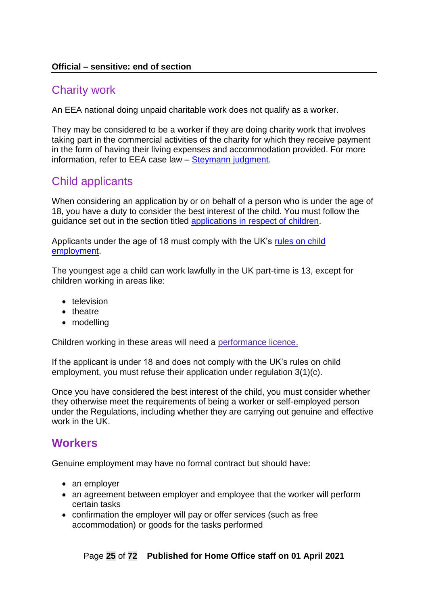#### **Official – sensitive: end of section**

### <span id="page-24-0"></span>Charity work

An EEA national doing unpaid charitable work does not qualify as a worker.

They may be considered to be a worker if they are doing charity work that involves taking part in the commercial activities of the charity for which they receive payment in the form of having their living expenses and accommodation provided. For more information, refer to EEA case law – [Steymann judgment.](https://eur01.safelinks.protection.outlook.com/?url=https%3A%2F%2Feur-lex.europa.eu%2Flegal-content%2FEN%2FTXT%2F%3Furi%3DCELEX%253A61987CJ0196&data=04%7C01%7CCorinne.Ribbons%40homeoffice.gov.uk%7C4e7759a3ef8a48687ca608d88fa75e03%7Cf24d93ecb2914192a08af182245945c2%7C0%7C0%7C637417296289290901%7CUnknown%7CTWFpbGZsb3d8eyJWIjoiMC4wLjAwMDAiLCJQIjoiV2luMzIiLCJBTiI6Ik1haWwiLCJXVCI6Mn0%3D%7C1000&sdata=dAw7VTcbYtBtQBEOZJnGJHDUoTk0hK5I1yosXApvsbc%3D&reserved=0)

## <span id="page-24-1"></span>Child applicants

When considering an application by or on behalf of a person who is under the age of 18, you have a duty to consider the best interest of the child. You must follow the guidance set out in the section titled [applications in respect of children.](#page-51-0)

Applicants under the age of 18 must comply with the UK's [rules on child](https://www.gov.uk/child-employment/restrictions-on-child-employment)  [employment.](https://www.gov.uk/child-employment/restrictions-on-child-employment)

The youngest age a child can work lawfully in the UK part-time is 13, except for children working in areas like:

- television
- theatre
- modelling

Children working in these areas will need a [performance](https://www.gov.uk/child-employment/performance-licences-for-children) licence.

If the applicant is under 18 and does not comply with the UK's rules on child employment, you must refuse their application under regulation 3(1)(c).

Once you have considered the best interest of the child, you must consider whether they otherwise meet the requirements of being a worker or self-employed person under the Regulations, including whether they are carrying out genuine and effective work in the UK.

### <span id="page-24-2"></span>**Workers**

Genuine employment may have no formal contract but should have:

- an employer
- an agreement between employer and employee that the worker will perform certain tasks
- confirmation the employer will pay or offer services (such as free accommodation) or goods for the tasks performed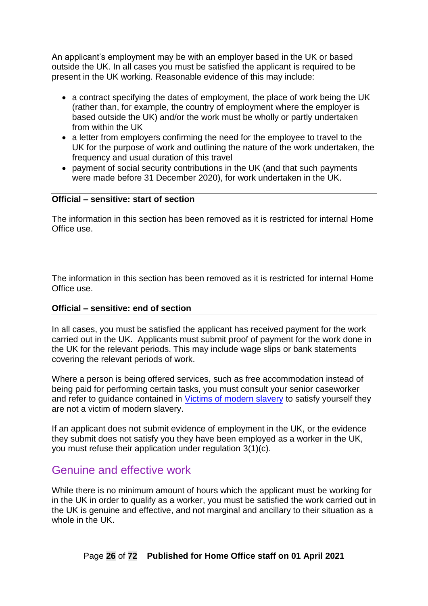An applicant's employment may be with an employer based in the UK or based outside the UK. In all cases you must be satisfied the applicant is required to be present in the UK working. Reasonable evidence of this may include:

- a contract specifying the dates of employment, the place of work being the UK (rather than, for example, the country of employment where the employer is based outside the UK) and/or the work must be wholly or partly undertaken from within the UK
- a letter from employers confirming the need for the employee to travel to the UK for the purpose of work and outlining the nature of the work undertaken, the frequency and usual duration of this travel
- payment of social security contributions in the UK (and that such payments were made before 31 December 2020), for work undertaken in the UK.

#### **Official – sensitive: start of section**

The information in this section has been removed as it is restricted for internal Home Office use.

The information in this section has been removed as it is restricted for internal Home Office use.

#### **Official – sensitive: end of section**

In all cases, you must be satisfied the applicant has received payment for the work carried out in the UK. Applicants must submit proof of payment for the work done in the UK for the relevant periods. This may include wage slips or bank statements covering the relevant periods of work.

Where a person is being offered services, such as free accommodation instead of being paid for performing certain tasks, you must consult your senior caseworker and refer to guidance contained in [Victims of modern slavery](https://www.gov.uk/government/publications/modern-slavery-how-to-identify-and-support-victims) to satisfy yourself they are not a victim of modern slavery.

If an applicant does not submit evidence of employment in the UK, or the evidence they submit does not satisfy you they have been employed as a worker in the UK, you must refuse their application under regulation 3(1)(c).

#### <span id="page-25-0"></span>Genuine and effective work

While there is no minimum amount of hours which the applicant must be working for in the UK in order to qualify as a worker, you must be satisfied the work carried out in the UK is genuine and effective, and not marginal and ancillary to their situation as a whole in the UK.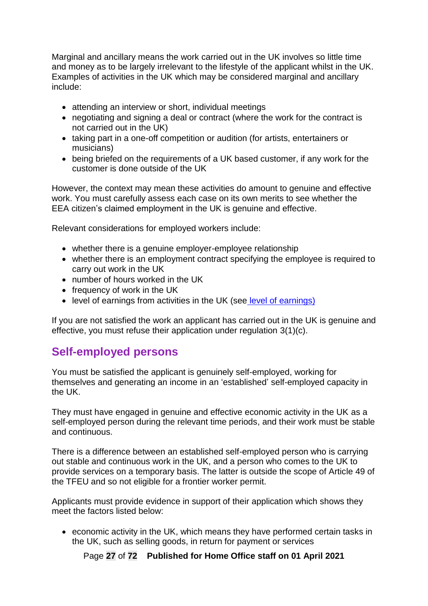Marginal and ancillary means the work carried out in the UK involves so little time and money as to be largely irrelevant to the lifestyle of the applicant whilst in the UK. Examples of activities in the UK which may be considered marginal and ancillary include:

- attending an interview or short, individual meetings
- negotiating and signing a deal or contract (where the work for the contract is not carried out in the UK)
- taking part in a one-off competition or audition (for artists, entertainers or musicians)
- being briefed on the requirements of a UK based customer, if any work for the customer is done outside of the UK

However, the context may mean these activities do amount to genuine and effective work. You must carefully assess each case on its own merits to see whether the EEA citizen's claimed employment in the UK is genuine and effective.

Relevant considerations for employed workers include:

- whether there is a genuine employer-employee relationship
- whether there is an employment contract specifying the employee is required to carry out work in the UK
- number of hours worked in the UK
- frequency of work in the UK
- level of earnings from activities in the UK (see [level of earnings\)](#page-29-1)

If you are not satisfied the work an applicant has carried out in the UK is genuine and effective, you must refuse their application under regulation 3(1)(c).

### <span id="page-26-0"></span>**Self-employed persons**

You must be satisfied the applicant is genuinely self-employed, working for themselves and generating an income in an 'established' self-employed capacity in the UK.

They must have engaged in genuine and effective economic activity in the UK as a self-employed person during the relevant time periods, and their work must be stable and continuous.

There is a difference between an established self-employed person who is carrying out stable and continuous work in the UK, and a person who comes to the UK to provide services on a temporary basis. The latter is outside the scope of Article 49 of the TFEU and so not eligible for a frontier worker permit.

Applicants must provide evidence in support of their application which shows they meet the factors listed below:

• economic activity in the UK, which means they have performed certain tasks in the UK, such as selling goods, in return for payment or services

Page **27** of **72 Published for Home Office staff on 01 April 2021**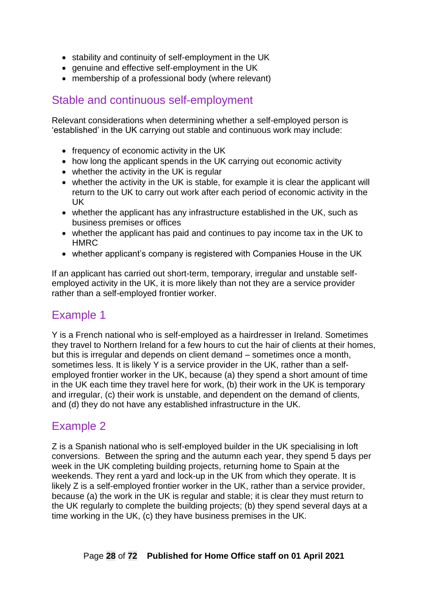- stability and continuity of self-employment in the UK
- genuine and effective self-employment in the UK
- membership of a professional body (where relevant)

### <span id="page-27-0"></span>Stable and continuous self-employment

Relevant considerations when determining whether a self-employed person is 'established' in the UK carrying out stable and continuous work may include:

- frequency of economic activity in the UK
- how long the applicant spends in the UK carrying out economic activity
- whether the activity in the UK is regular
- whether the activity in the UK is stable, for example it is clear the applicant will return to the UK to carry out work after each period of economic activity in the UK
- whether the applicant has any infrastructure established in the UK, such as business premises or offices
- whether the applicant has paid and continues to pay income tax in the UK to **HMRC**
- whether applicant's company is registered with Companies House in the UK

If an applicant has carried out short-term, temporary, irregular and unstable selfemployed activity in the UK, it is more likely than not they are a service provider rather than a self-employed frontier worker.

## <span id="page-27-1"></span>Example 1

Y is a French national who is self-employed as a hairdresser in Ireland. Sometimes they travel to Northern Ireland for a few hours to cut the hair of clients at their homes, but this is irregular and depends on client demand – sometimes once a month, sometimes less. It is likely Y is a service provider in the UK, rather than a selfemployed frontier worker in the UK, because (a) they spend a short amount of time in the UK each time they travel here for work, (b) their work in the UK is temporary and irregular, (c) their work is unstable, and dependent on the demand of clients, and (d) they do not have any established infrastructure in the UK.

## <span id="page-27-2"></span>Example 2

Z is a Spanish national who is self-employed builder in the UK specialising in loft conversions. Between the spring and the autumn each year, they spend 5 days per week in the UK completing building projects, returning home to Spain at the weekends. They rent a yard and lock-up in the UK from which they operate. It is likely Z is a self-employed frontier worker in the UK, rather than a service provider, because (a) the work in the UK is regular and stable; it is clear they must return to the UK regularly to complete the building projects; (b) they spend several days at a time working in the UK, (c) they have business premises in the UK.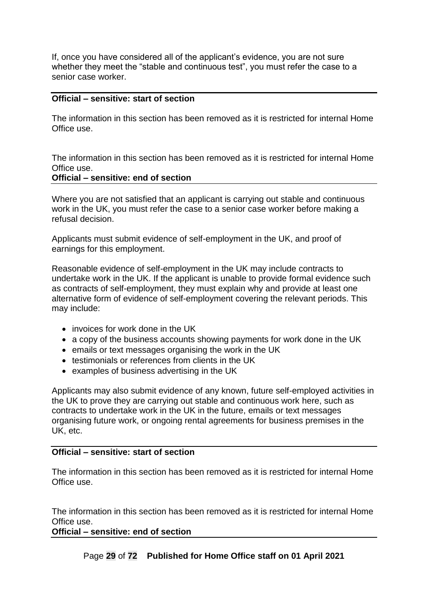If, once you have considered all of the applicant's evidence, you are not sure whether they meet the "stable and continuous test", you must refer the case to a senior case worker.

#### **Official – sensitive: start of section**

The information in this section has been removed as it is restricted for internal Home Office use.

The information in this section has been removed as it is restricted for internal Home Office use.

#### **Official – sensitive: end of section**

Where you are not satisfied that an applicant is carrying out stable and continuous work in the UK, you must refer the case to a senior case worker before making a refusal decision.

Applicants must submit evidence of self-employment in the UK, and proof of earnings for this employment.

Reasonable evidence of self-employment in the UK may include contracts to undertake work in the UK. If the applicant is unable to provide formal evidence such as contracts of self-employment, they must explain why and provide at least one alternative form of evidence of self-employment covering the relevant periods. This may include:

- invoices for work done in the UK
- a copy of the business accounts showing payments for work done in the UK
- emails or text messages organising the work in the UK
- testimonials or references from clients in the UK
- examples of business advertising in the UK

Applicants may also submit evidence of any known, future self-employed activities in the UK to prove they are carrying out stable and continuous work here, such as contracts to undertake work in the UK in the future, emails or text messages organising future work, or ongoing rental agreements for business premises in the UK, etc.

#### **Official – sensitive: start of section**

The information in this section has been removed as it is restricted for internal Home Office use.

The information in this section has been removed as it is restricted for internal Home Office use.

#### **Official – sensitive: end of section**

Page **29** of **72 Published for Home Office staff on 01 April 2021**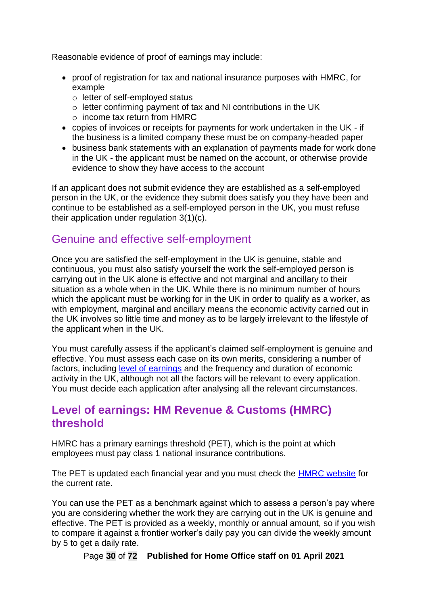Reasonable evidence of proof of earnings may include:

- proof of registration for tax and national insurance purposes with HMRC, for example
	- o letter of self-employed status
	- o letter confirming payment of tax and NI contributions in the UK
	- o income tax return from HMRC
- copies of invoices or receipts for payments for work undertaken in the UK if the business is a limited company these must be on company-headed paper
- business bank statements with an explanation of payments made for work done in the UK - the applicant must be named on the account, or otherwise provide evidence to show they have access to the account

If an applicant does not submit evidence they are established as a self-employed person in the UK, or the evidence they submit does satisfy you they have been and continue to be established as a self-employed person in the UK, you must refuse their application under regulation 3(1)(c).

## <span id="page-29-0"></span>Genuine and effective self-employment

Once you are satisfied the self-employment in the UK is genuine, stable and continuous, you must also satisfy yourself the work the self-employed person is carrying out in the UK alone is effective and not marginal and ancillary to their situation as a whole when in the UK. While there is no minimum number of hours which the applicant must be working for in the UK in order to qualify as a worker, as with employment, marginal and ancillary means the economic activity carried out in the UK involves so little time and money as to be largely irrelevant to the lifestyle of the applicant when in the UK.

You must carefully assess if the applicant's claimed self-employment is genuine and effective. You must assess each case on its own merits, considering a number of factors, including level of [earnings](#page-29-1) and the frequency and duration of economic activity in the UK, although not all the factors will be relevant to every application. You must decide each application after analysing all the relevant circumstances.

## <span id="page-29-1"></span>**Level of earnings: HM Revenue & Customs (HMRC) threshold**

HMRC has a primary earnings threshold (PET), which is the point at which employees must pay class 1 national insurance contributions.

The PET is updated each financial year and you must check the [HMRC website](https://www.gov.uk/government/collections/rates-and-allowances-hm-revenue-and-customs#employer-rates-and-thresholds) for the current rate.

You can use the PET as a benchmark against which to assess a person's pay where you are considering whether the work they are carrying out in the UK is genuine and effective. The PET is provided as a weekly, monthly or annual amount, so if you wish to compare it against a frontier worker's daily pay you can divide the weekly amount by 5 to get a daily rate.

Page **30** of **72 Published for Home Office staff on 01 April 2021**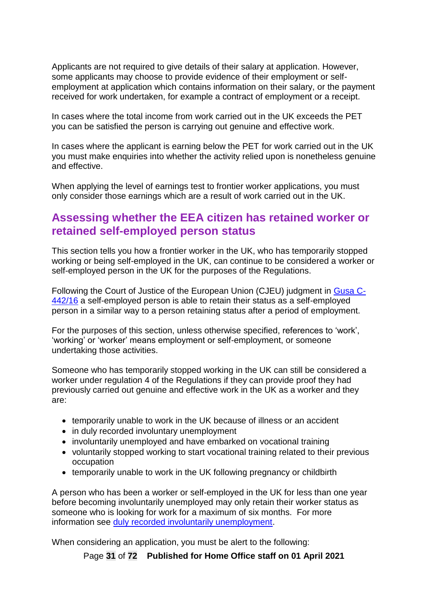Applicants are not required to give details of their salary at application. However, some applicants may choose to provide evidence of their employment or selfemployment at application which contains information on their salary, or the payment received for work undertaken, for example a contract of employment or a receipt.

In cases where the total income from work carried out in the UK exceeds the PET you can be satisfied the person is carrying out genuine and effective work.

In cases where the applicant is earning below the PET for work carried out in the UK you must make enquiries into whether the activity relied upon is nonetheless genuine and effective.

<span id="page-30-1"></span>When applying the level of earnings test to frontier worker applications, you must only consider those earnings which are a result of work carried out in the UK.

### <span id="page-30-0"></span>**Assessing whether the EEA citizen has retained worker or retained self-employed person status**

This section tells you how a frontier worker in the UK, who has temporarily stopped working or being self-employed in the UK, can continue to be considered a worker or self-employed person in the UK for the purposes of the Regulations.

Following the Court of Justice of the European Union (CJEU) judgment in [Gusa C-](http://curia.europa.eu/juris/document/document.jsf?text=&docid=193234&pageIndex=0&doclang=EN&mode=lst&dir=&occ=first&part=1&cid=714615)[442/16](http://curia.europa.eu/juris/document/document.jsf?text=&docid=193234&pageIndex=0&doclang=EN&mode=lst&dir=&occ=first&part=1&cid=714615) a self-employed person is able to retain their status as a self-employed person in a similar way to a person retaining status after a period of employment.

For the purposes of this section, unless otherwise specified, references to 'work', 'working' or 'worker' means employment or self-employment, or someone undertaking those activities.

Someone who has temporarily stopped working in the UK can still be considered a worker under regulation 4 of the Regulations if they can provide proof they had previously carried out genuine and effective work in the UK as a worker and they are:

- temporarily unable to work in the UK because of illness or an accident
- in duly recorded involuntary unemployment
- involuntarily unemployed and have embarked on vocational training
- voluntarily stopped working to start vocational training related to their previous occupation
- temporarily unable to work in the UK following pregnancy or childbirth

A person who has been a worker or self-employed in the UK for less than one year before becoming involuntarily unemployed may only retain their worker status as someone who is looking for work for a maximum of six months. For more information see [duly recorded involuntarily unemployment.](#page-35-0)

When considering an application, you must be alert to the following:

Page **31** of **72 Published for Home Office staff on 01 April 2021**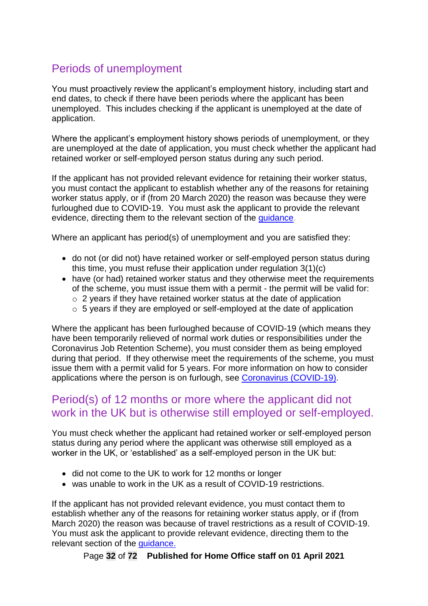# <span id="page-31-0"></span>Periods of unemployment

You must proactively review the applicant's employment history, including start and end dates, to check if there have been periods where the applicant has been unemployed. This includes checking if the applicant is unemployed at the date of application.

Where the applicant's employment history shows periods of unemployment, or they are unemployed at the date of application, you must check whether the applicant had retained worker or self-employed person status during any such period.

If the applicant has not provided relevant evidence for retaining their worker status, you must contact the applicant to establish whether any of the reasons for retaining worker status apply, or if (from 20 March 2020) the reason was because they were furloughed due to COVID-19. You must ask the applicant to provide the relevant evidence, directing them to the relevant section of the [guidance.](http://www.gov.uk/government/publications/frontier-worker-permit-scheme-caseworker-guidance)

Where an applicant has period(s) of unemployment and you are satisfied they:

- do not (or did not) have retained worker or self-employed person status during this time, you must refuse their application under regulation 3(1)(c)
- have (or had) retained worker status and they otherwise meet the requirements of the scheme, you must issue them with a permit - the permit will be valid for:
	- $\circ$  2 years if they have retained worker status at the date of application
	- o 5 years if they are employed or self-employed at the date of application

Where the applicant has been furloughed because of COVID-19 (which means they have been temporarily relieved of normal work duties or responsibilities under the Coronavirus Job Retention Scheme), you must consider them as being employed during that period. If they otherwise meet the requirements of the scheme, you must issue them with a permit valid for 5 years. For more information on how to consider applications where the person is on furlough, see [Coronavirus \(COVID-19\).](#page-37-0)

### <span id="page-31-1"></span>Period(s) of 12 months or more where the applicant did not work in the UK but is otherwise still employed or self-employed.

You must check whether the applicant had retained worker or self-employed person status during any period where the applicant was otherwise still employed as a worker in the UK, or 'established' as a self-employed person in the UK but:

- did not come to the UK to work for 12 months or longer
- was unable to work in the UK as a result of COVID-19 restrictions.

If the applicant has not provided relevant evidence, you must contact them to establish whether any of the reasons for retaining worker status apply, or if (from March 2020) the reason was because of travel restrictions as a result of COVID-19. You must ask the applicant to provide relevant evidence, directing them to the relevant section of the [guidance.](http://www.gov.uk/government/publications/frontier-worker-permit-scheme-caseworker-guidance)

Page **32** of **72 Published for Home Office staff on 01 April 2021**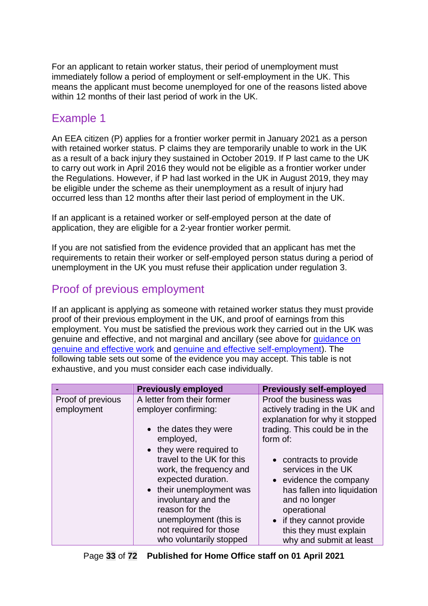For an applicant to retain worker status, their period of unemployment must immediately follow a period of employment or self-employment in the UK. This means the applicant must become unemployed for one of the reasons listed above within 12 months of their last period of work in the UK.

# <span id="page-32-0"></span>Example 1

An EEA citizen (P) applies for a frontier worker permit in January 2021 as a person with retained worker status. P claims they are temporarily unable to work in the UK as a result of a back injury they sustained in October 2019. If P last came to the UK to carry out work in April 2016 they would not be eligible as a frontier worker under the Regulations. However, if P had last worked in the UK in August 2019, they may be eligible under the scheme as their unemployment as a result of injury had occurred less than 12 months after their last period of employment in the UK.

If an applicant is a retained worker or self-employed person at the date of application, they are eligible for a 2-year frontier worker permit.

If you are not satisfied from the evidence provided that an applicant has met the requirements to retain their worker or self-employed person status during a period of unemployment in the UK you must refuse their application under regulation 3.

## <span id="page-32-1"></span>Proof of previous employment

If an applicant is applying as someone with retained worker status they must provide proof of their previous employment in the UK, and proof of earnings from this employment. You must be satisfied the previous work they carried out in the UK was genuine and effective, and not marginal and ancillary (see above for [guidance on](#page-25-0)  [genuine and effective work](#page-25-0) and [genuine and effective self-employment\)](#page-29-0). The following table sets out some of the evidence you may accept. This table is not exhaustive, and you must consider each case individually.

|                   | <b>Previously employed</b>                                                                                                                                                                                                                               | <b>Previously self-employed</b>                                                                                                                                                                                        |
|-------------------|----------------------------------------------------------------------------------------------------------------------------------------------------------------------------------------------------------------------------------------------------------|------------------------------------------------------------------------------------------------------------------------------------------------------------------------------------------------------------------------|
| Proof of previous | A letter from their former                                                                                                                                                                                                                               | Proof the business was                                                                                                                                                                                                 |
| employment        | employer confirming:                                                                                                                                                                                                                                     | actively trading in the UK and<br>explanation for why it stopped                                                                                                                                                       |
|                   | • the dates they were                                                                                                                                                                                                                                    | trading. This could be in the                                                                                                                                                                                          |
|                   | employed,                                                                                                                                                                                                                                                | form of:                                                                                                                                                                                                               |
|                   | • they were required to<br>travel to the UK for this<br>work, the frequency and<br>expected duration.<br>• their unemployment was<br>involuntary and the<br>reason for the<br>unemployment (this is<br>not required for those<br>who voluntarily stopped | • contracts to provide<br>services in the UK<br>• evidence the company<br>has fallen into liquidation<br>and no longer<br>operational<br>• if they cannot provide<br>this they must explain<br>why and submit at least |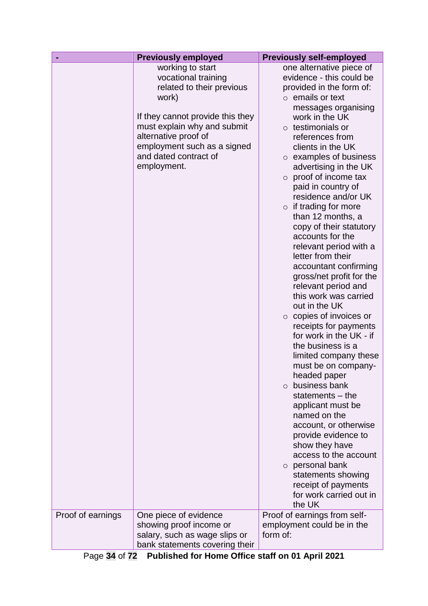|                   | <b>Previously employed</b>                                                                                                                                                                                                                      | <b>Previously self-employed</b>                                                                                                                                                                                                                                                                                                                                                                                                                                                                                                                                                                                                                                                                                                                                                                                                                                                                                                                                                                                                                                                                            |
|-------------------|-------------------------------------------------------------------------------------------------------------------------------------------------------------------------------------------------------------------------------------------------|------------------------------------------------------------------------------------------------------------------------------------------------------------------------------------------------------------------------------------------------------------------------------------------------------------------------------------------------------------------------------------------------------------------------------------------------------------------------------------------------------------------------------------------------------------------------------------------------------------------------------------------------------------------------------------------------------------------------------------------------------------------------------------------------------------------------------------------------------------------------------------------------------------------------------------------------------------------------------------------------------------------------------------------------------------------------------------------------------------|
|                   | working to start<br>vocational training<br>related to their previous<br>work)<br>If they cannot provide this they<br>must explain why and submit<br>alternative proof of<br>employment such as a signed<br>and dated contract of<br>employment. | one alternative piece of<br>evidence - this could be<br>provided in the form of:<br>$\circ$ emails or text<br>messages organising<br>work in the UK<br>$\circ$ testimonials or<br>references from<br>clients in the UK<br>$\circ$ examples of business<br>advertising in the UK<br>$\circ$ proof of income tax<br>paid in country of<br>residence and/or UK<br>$\circ$ if trading for more<br>than 12 months, a<br>copy of their statutory<br>accounts for the<br>relevant period with a<br>letter from their<br>accountant confirming<br>gross/net profit for the<br>relevant period and<br>this work was carried<br>out in the UK<br>$\circ$ copies of invoices or<br>receipts for payments<br>for work in the UK - if<br>the business is a<br>limited company these<br>must be on company-<br>headed paper<br>business bank<br>$\circ$<br>statements $-$ the<br>applicant must be<br>named on the<br>account, or otherwise<br>provide evidence to<br>show they have<br>access to the account<br>$\circ$ personal bank<br>statements showing<br>receipt of payments<br>for work carried out in<br>the UK |
| Proof of earnings | One piece of evidence<br>showing proof income or<br>salary, such as wage slips or<br>bank statements covering their                                                                                                                             | Proof of earnings from self-<br>employment could be in the<br>form of:                                                                                                                                                                                                                                                                                                                                                                                                                                                                                                                                                                                                                                                                                                                                                                                                                                                                                                                                                                                                                                     |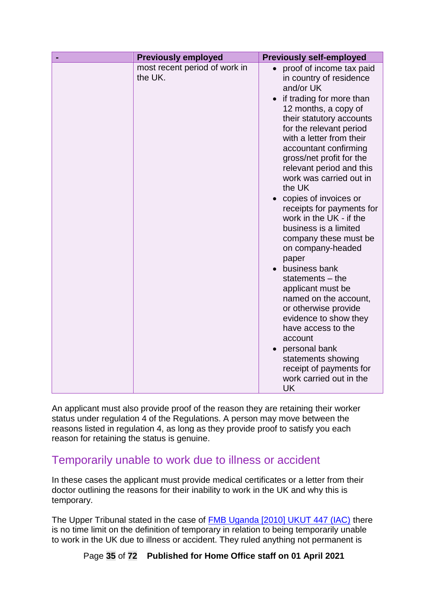An applicant must also provide proof of the reason they are retaining their worker status under regulation 4 of the Regulations. A person may move between the reasons listed in regulation 4, as long as they provide proof to satisfy you each reason for retaining the status is genuine.

## <span id="page-34-0"></span>Temporarily unable to work due to illness or accident

In these cases the applicant must provide medical certificates or a letter from their doctor outlining the reasons for their inability to work in the UK and why this is temporary.

The Upper Tribunal stated in the case of [FMB Uganda \[2010\] UKUT 447 \(IAC\)](https://tribunalsdecisions.service.gov.uk/utiac/2010-ukut-447) there is no time limit on the definition of temporary in relation to being temporarily unable to work in the UK due to illness or accident. They ruled anything not permanent is

Page **35** of **72 Published for Home Office staff on 01 April 2021**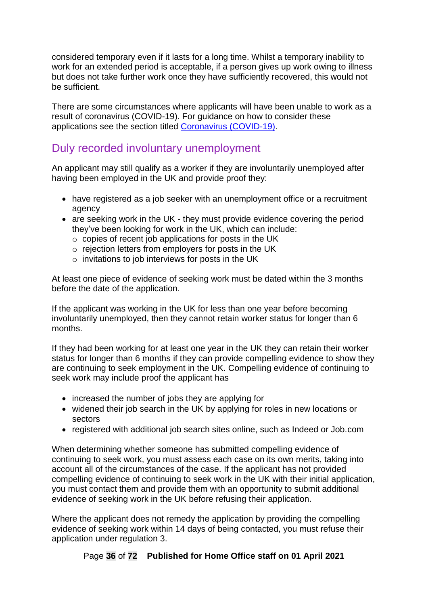considered temporary even if it lasts for a long time. Whilst a temporary inability to work for an extended period is acceptable, if a person gives up work owing to illness but does not take further work once they have sufficiently recovered, this would not be sufficient.

There are some circumstances where applicants will have been unable to work as a result of coronavirus (COVID-19). For guidance on how to consider these applications see the section titled [Coronavirus \(COVID-19\).](#page-37-0)

### <span id="page-35-0"></span>Duly recorded involuntary unemployment

An applicant may still qualify as a worker if they are involuntarily unemployed after having been employed in the UK and provide proof they:

- have registered as a job seeker with an unemployment office or a recruitment agency
- are seeking work in the UK they must provide evidence covering the period they've been looking for work in the UK, which can include:
	- o copies of recent job applications for posts in the UK
	- o rejection letters from employers for posts in the UK
	- o invitations to job interviews for posts in the UK

At least one piece of evidence of seeking work must be dated within the 3 months before the date of the application.

If the applicant was working in the UK for less than one year before becoming involuntarily unemployed, then they cannot retain worker status for longer than 6 months.

If they had been working for at least one year in the UK they can retain their worker status for longer than 6 months if they can provide compelling evidence to show they are continuing to seek employment in the UK. Compelling evidence of continuing to seek work may include proof the applicant has

- increased the number of jobs they are applying for
- widened their job search in the UK by applying for roles in new locations or sectors
- registered with additional job search sites online, such as Indeed or Job.com

When determining whether someone has submitted compelling evidence of continuing to seek work, you must assess each case on its own merits, taking into account all of the circumstances of the case. If the applicant has not provided compelling evidence of continuing to seek work in the UK with their initial application, you must contact them and provide them with an opportunity to submit additional evidence of seeking work in the UK before refusing their application.

Where the applicant does not remedy the application by providing the compelling evidence of seeking work within 14 days of being contacted, you must refuse their application under regulation 3.

Page **36** of **72 Published for Home Office staff on 01 April 2021**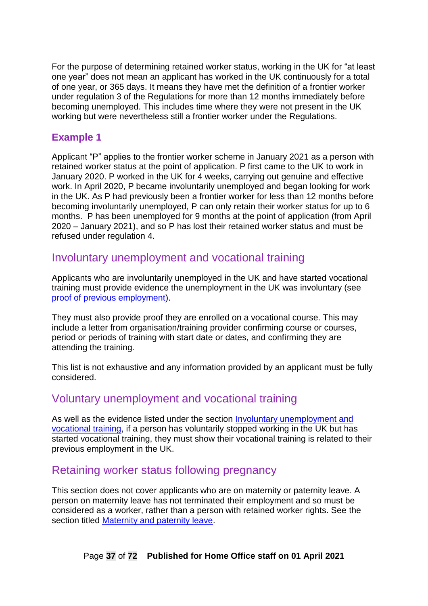For the purpose of determining retained worker status, working in the UK for "at least one year" does not mean an applicant has worked in the UK continuously for a total of one year, or 365 days. It means they have met the definition of a frontier worker under regulation 3 of the Regulations for more than 12 months immediately before becoming unemployed. This includes time where they were not present in the UK working but were nevertheless still a frontier worker under the Regulations.

### **Example 1**

Applicant "P" applies to the frontier worker scheme in January 2021 as a person with retained worker status at the point of application. P first came to the UK to work in January 2020. P worked in the UK for 4 weeks, carrying out genuine and effective work. In April 2020, P became involuntarily unemployed and began looking for work in the UK. As P had previously been a frontier worker for less than 12 months before becoming involuntarily unemployed, P can only retain their worker status for up to 6 months. P has been unemployed for 9 months at the point of application (from April 2020 – January 2021), and so P has lost their retained worker status and must be refused under regulation 4.

## <span id="page-36-0"></span>Involuntary unemployment and vocational training

Applicants who are involuntarily unemployed in the UK and have started vocational training must provide evidence the unemployment in the UK was involuntary (see [proof of previous employment\)](#page-32-0).

They must also provide proof they are enrolled on a vocational course. This may include a letter from organisation/training provider confirming course or courses, period or periods of training with start date or dates, and confirming they are attending the training.

This list is not exhaustive and any information provided by an applicant must be fully considered.

## Voluntary unemployment and vocational training

As well as the evidence listed under the section [Involuntary unemployment and](#page-36-0)  [vocational training,](#page-36-0) if a person has voluntarily stopped working in the UK but has started vocational training, they must show their vocational training is related to their previous employment in the UK.

## Retaining worker status following pregnancy

This section does not cover applicants who are on maternity or paternity leave. A person on maternity leave has not terminated their employment and so must be considered as a worker, rather than a person with retained worker rights. See the section titled [Maternity and paternity leave.](#page-23-0)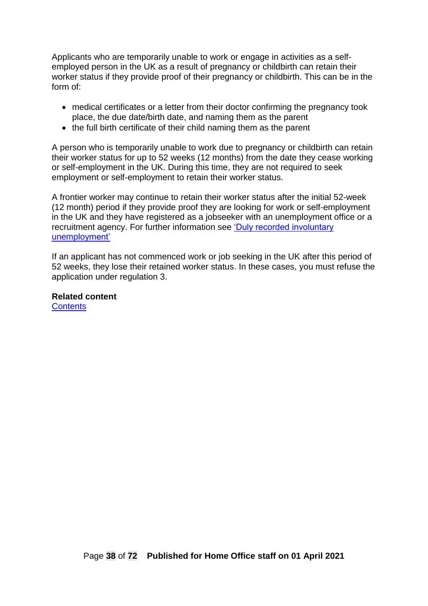Applicants who are temporarily unable to work or engage in activities as a selfemployed person in the UK as a result of pregnancy or childbirth can retain their worker status if they provide proof of their pregnancy or childbirth. This can be in the form of:

- medical certificates or a letter from their doctor confirming the pregnancy took place, the due date/birth date, and naming them as the parent
- the full birth certificate of their child naming them as the parent

A person who is temporarily unable to work due to pregnancy or childbirth can retain their worker status for up to 52 weeks (12 months) from the date they cease working or self-employment in the UK. During this time, they are not required to seek employment or self-employment to retain their worker status.

A frontier worker may continue to retain their worker status after the initial 52-week (12 month) period if they provide proof they are looking for work or self-employment in the UK and they have registered as a jobseeker with an unemployment office or a recruitment agency. For further information see ['Duly recorded involuntary](#page-35-0)  [unemployment'](#page-35-0)

If an applicant has not commenced work or job seeking in the UK after this period of 52 weeks, they lose their retained worker status. In these cases, you must refuse the application under regulation 3.

**Related content [Contents](#page-1-0)**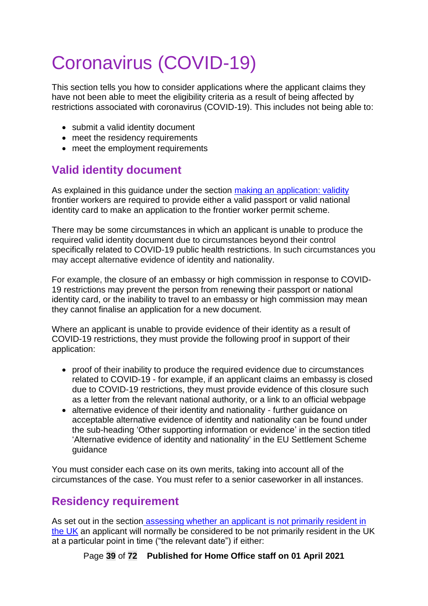# Coronavirus (COVID-19)

This section tells you how to consider applications where the applicant claims they have not been able to meet the eligibility criteria as a result of being affected by restrictions associated with coronavirus (COVID-19). This includes not being able to:

- submit a valid identity document
- meet the residency requirements
- meet the employment requirements

# **Valid identity document**

As explained in this guidance under the section making an application: validity frontier workers are required to provide either a valid passport or valid national identity card to make an application to the frontier worker permit scheme.

There may be some circumstances in which an applicant is unable to produce the required valid identity document due to circumstances beyond their control specifically related to COVID-19 public health restrictions. In such circumstances you may accept alternative evidence of identity and nationality.

For example, the closure of an embassy or high commission in response to COVID-19 restrictions may prevent the person from renewing their passport or national identity card, or the inability to travel to an embassy or high commission may mean they cannot finalise an application for a new document.

Where an applicant is unable to provide evidence of their identity as a result of COVID-19 restrictions, they must provide the following proof in support of their application:

- proof of their inability to produce the required evidence due to circumstances related to COVID-19 - for example, if an applicant claims an embassy is closed due to COVID-19 restrictions, they must provide evidence of this closure such as a letter from the relevant national authority, or a link to an official webpage
- alternative evidence of their identity and nationality further guidance on acceptable alternative evidence of identity and nationality can be found under the sub-heading 'Other supporting information or evidence' in the section titled 'Alternative evidence of identity and nationality' in the EU Settlement Scheme guidance

You must consider each case on its own merits, taking into account all of the circumstances of the case. You must refer to a senior caseworker in all instances.

# **Residency requirement**

As set out in the section [assessing whether an applicant is not primarily resident in](#page-18-0)  [the UK](#page-18-0) an applicant will normally be considered to be not primarily resident in the UK at a particular point in time ("the relevant date") if either:

Page **39** of **72 Published for Home Office staff on 01 April 2021**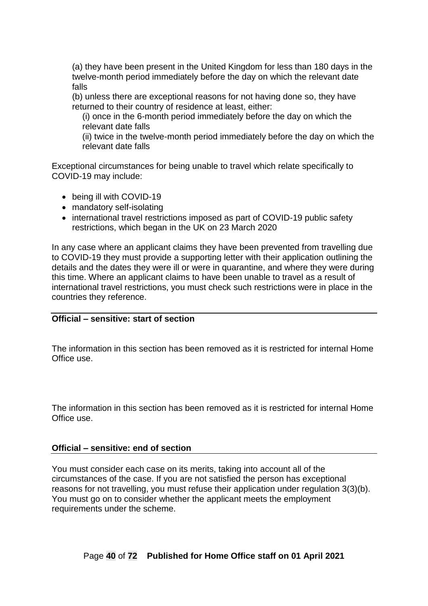(a) they have been present in the United Kingdom for less than 180 days in the twelve-month period immediately before the day on which the relevant date falls

(b) unless there are exceptional reasons for not having done so, they have returned to their country of residence at least, either:

(i) once in the 6-month period immediately before the day on which the relevant date falls

(ii) twice in the twelve-month period immediately before the day on which the relevant date falls

Exceptional circumstances for being unable to travel which relate specifically to COVID-19 may include:

- being ill with COVID-19
- mandatory self-isolating
- international travel restrictions imposed as part of COVID-19 public safety restrictions, which began in the UK on 23 March 2020

In any case where an applicant claims they have been prevented from travelling due to COVID-19 they must provide a supporting letter with their application outlining the details and the dates they were ill or were in quarantine, and where they were during this time. Where an applicant claims to have been unable to travel as a result of international travel restrictions, you must check such restrictions were in place in the countries they reference.

#### **Official – sensitive: start of section**

The information in this section has been removed as it is restricted for internal Home Office use.

The information in this section has been removed as it is restricted for internal Home Office use.

#### **Official – sensitive: end of section**

You must consider each case on its merits, taking into account all of the circumstances of the case. If you are not satisfied the person has exceptional reasons for not travelling, you must refuse their application under regulation 3(3)(b). You must go on to consider whether the applicant meets the employment requirements under the scheme.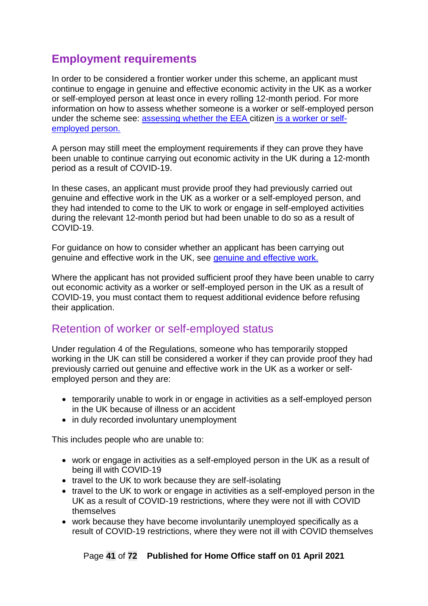# **Employment requirements**

In order to be considered a frontier worker under this scheme, an applicant must continue to engage in genuine and effective economic activity in the UK as a worker or self-employed person at least once in every rolling 12-month period. For more information on how to assess whether someone is a worker or self-employed person under the scheme see: [assessing whether the EEA citizen](#page-22-0) is a worker or self[employed person.](#page-22-0)

A person may still meet the employment requirements if they can prove they have been unable to continue carrying out economic activity in the UK during a 12-month period as a result of COVID-19.

In these cases, an applicant must provide proof they had previously carried out genuine and effective work in the UK as a worker or a self-employed person, and they had intended to come to the UK to work or engage in self-employed activities during the relevant 12-month period but had been unable to do so as a result of COVID-19.

For guidance on how to consider whether an applicant has been carrying out genuine and effective work in the UK, see [genuine and effective work.](#page-25-0)

Where the applicant has not provided sufficient proof they have been unable to carry out economic activity as a worker or self-employed person in the UK as a result of COVID-19, you must contact them to request additional evidence before refusing their application.

## Retention of worker or self-employed status

Under regulation 4 of the Regulations, someone who has temporarily stopped working in the UK can still be considered a worker if they can provide proof they had previously carried out genuine and effective work in the UK as a worker or selfemployed person and they are:

- temporarily unable to work in or engage in activities as a self-employed person in the UK because of illness or an accident
- in duly recorded involuntary unemployment

This includes people who are unable to:

- work or engage in activities as a self-employed person in the UK as a result of being ill with COVID-19
- travel to the UK to work because they are self-isolating
- travel to the UK to work or engage in activities as a self-employed person in the UK as a result of COVID-19 restrictions, where they were not ill with COVID themselves
- work because they have become involuntarily unemployed specifically as a result of COVID-19 restrictions, where they were not ill with COVID themselves

Page **41** of **72 Published for Home Office staff on 01 April 2021**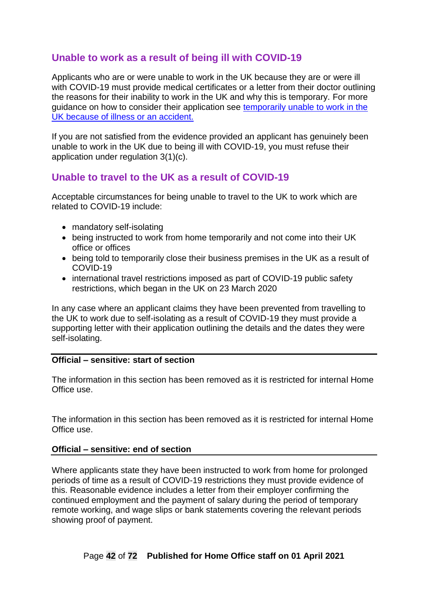## **Unable to work as a result of being ill with COVID-19**

Applicants who are or were unable to work in the UK because they are or were ill with COVID-19 must provide medical certificates or a letter from their doctor outlining the reasons for their inability to work in the UK and why this is temporary. For more guidance on how to consider their application see [temporarily unable to work in the](#page-34-0)  [UK because of illness or an accident.](#page-34-0)

If you are not satisfied from the evidence provided an applicant has genuinely been unable to work in the UK due to being ill with COVID-19, you must refuse their application under regulation 3(1)(c).

### **Unable to travel to the UK as a result of COVID-19**

Acceptable circumstances for being unable to travel to the UK to work which are related to COVID-19 include:

- mandatory self-isolating
- being instructed to work from home temporarily and not come into their UK office or offices
- being told to temporarily close their business premises in the UK as a result of COVID-19
- international travel restrictions imposed as part of COVID-19 public safety restrictions, which began in the UK on 23 March 2020

In any case where an applicant claims they have been prevented from travelling to the UK to work due to self-isolating as a result of COVID-19 they must provide a supporting letter with their application outlining the details and the dates they were self-isolating.

#### **Official – sensitive: start of section**

The information in this section has been removed as it is restricted for internal Home Office use.

The information in this section has been removed as it is restricted for internal Home Office use.

#### **Official – sensitive: end of section**

Where applicants state they have been instructed to work from home for prolonged periods of time as a result of COVID-19 restrictions they must provide evidence of this. Reasonable evidence includes a letter from their employer confirming the continued employment and the payment of salary during the period of temporary remote working, and wage slips or bank statements covering the relevant periods showing proof of payment.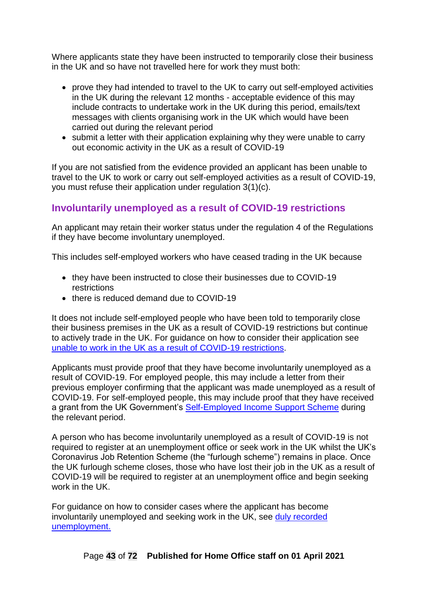Where applicants state they have been instructed to temporarily close their business in the UK and so have not travelled here for work they must both:

- prove they had intended to travel to the UK to carry out self-employed activities in the UK during the relevant 12 months - acceptable evidence of this may include contracts to undertake work in the UK during this period, emails/text messages with clients organising work in the UK which would have been carried out during the relevant period
- submit a letter with their application explaining why they were unable to carry out economic activity in the UK as a result of COVID-19

If you are not satisfied from the evidence provided an applicant has been unable to travel to the UK to work or carry out self-employed activities as a result of COVID-19, you must refuse their application under regulation 3(1)(c).

## **Involuntarily unemployed as a result of COVID-19 restrictions**

An applicant may retain their worker status under the regulation 4 of the Regulations if they have become involuntary unemployed.

This includes self-employed workers who have ceased trading in the UK because

- they have been instructed to close their businesses due to COVID-19 restrictions
- there is reduced demand due to COVID-19

It does not include self-employed people who have been told to temporarily close their business premises in the UK as a result of COVID-19 restrictions but continue to actively trade in the UK. For guidance on how to consider their application see [unable to work in the UK as a result of COVID-19 restrictions.](#page-43-0)

Applicants must provide proof that they have become involuntarily unemployed as a result of COVID-19. For employed people, this may include a letter from their previous employer confirming that the applicant was made unemployed as a result of COVID-19. For self-employed people, this may include proof that they have received a grant from the UK Government's [Self-Employed Income Support Scheme](https://www.gov.uk/government/publications/self-employment-income-support-scheme-grant-extension/self-employment-income-support-scheme-grant-extension) during the relevant period.

A person who has become involuntarily unemployed as a result of COVID-19 is not required to register at an unemployment office or seek work in the UK whilst the UK's Coronavirus Job Retention Scheme (the "furlough scheme") remains in place. Once the UK furlough scheme closes, those who have lost their job in the UK as a result of COVID-19 will be required to register at an unemployment office and begin seeking work in the UK.

For guidance on how to consider cases where the applicant has become involuntarily unemployed and seeking work in the UK, see [duly recorded](#page-35-0)  [unemployment.](#page-35-0)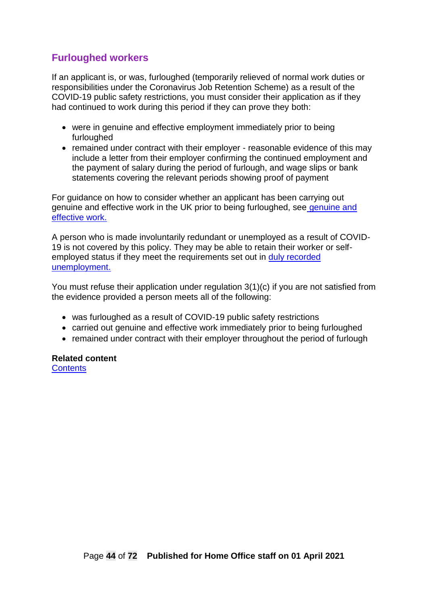## **Furloughed workers**

If an applicant is, or was, furloughed (temporarily relieved of normal work duties or responsibilities under the Coronavirus Job Retention Scheme) as a result of the COVID-19 public safety restrictions, you must consider their application as if they had continued to work during this period if they can prove they both:

- were in genuine and effective employment immediately prior to being furloughed
- remained under contract with their employer reasonable evidence of this may include a letter from their employer confirming the continued employment and the payment of salary during the period of furlough, and wage slips or bank statements covering the relevant periods showing proof of payment

For guidance on how to consider whether an applicant has been carrying out [genuine and](#page-25-0) effective work in the UK prior to being furloughed, see genuine and [effective work.](#page-25-0)

A person who is made involuntarily redundant or unemployed as a result of COVID-19 is not covered by this policy. They may be able to retain their worker or selfemployed status if they meet the requirements set out in [duly recorded](#page-35-0)  [unemployment.](#page-35-0)

You must refuse their application under regulation 3(1)(c) if you are not satisfied from the evidence provided a person meets all of the following:

- was furloughed as a result of COVID-19 public safety restrictions
- carried out genuine and effective work immediately prior to being furloughed
- remained under contract with their employer throughout the period of furlough

<span id="page-43-0"></span>**Related content [Contents](#page-1-0)**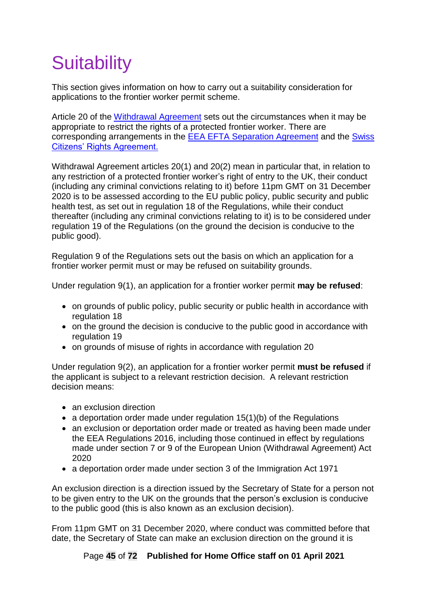# **Suitability**

This section gives information on how to carry out a suitability consideration for applications to the frontier worker permit scheme.

Article 20 of the [Withdrawal Agreement](https://www.gov.uk/government/publications/agreement-on-the-withdrawal-of-the-united-kingdom-of-great-britain-and-northern-ireland-from-the-european-union-and-the-european-atomic-energy-communi) sets out the circumstances when it may be appropriate to restrict the rights of a protected frontier worker. There are corresponding arrangements in the **EEA EFTA Separation Agreement** and the **Swiss** [Citizens' Rights Agreement.](https://www.gov.uk/government/publications/cs-switzerland-no52019-ukswitzerland-agreement-on-citizens-rights-following-withdrawal-of-uk-from-the-eu-and-free-movement-of-persons-agreement)

Withdrawal Agreement articles 20(1) and 20(2) mean in particular that, in relation to any restriction of a protected frontier worker's right of entry to the UK, their conduct (including any criminal convictions relating to it) before 11pm GMT on 31 December 2020 is to be assessed according to the EU public policy, public security and public health test, as set out in regulation 18 of the Regulations, while their conduct thereafter (including any criminal convictions relating to it) is to be considered under regulation 19 of the Regulations (on the ground the decision is conducive to the public good).

Regulation 9 of the Regulations sets out the basis on which an application for a frontier worker permit must or may be refused on suitability grounds.

Under regulation 9(1), an application for a frontier worker permit **may be refused**:

- on grounds of public policy, public security or public health in accordance with regulation 18
- on the ground the decision is conducive to the public good in accordance with regulation 19
- on grounds of misuse of rights in accordance with regulation 20

Under regulation 9(2), an application for a frontier worker permit **must be refused** if the applicant is subject to a relevant restriction decision. A relevant restriction decision means:

- an exclusion direction
- a deportation order made under regulation  $15(1)(b)$  of the Regulations
- an exclusion or deportation order made or treated as having been made under the EEA Regulations 2016, including those continued in effect by regulations made under section 7 or 9 of the European Union (Withdrawal Agreement) Act 2020
- a deportation order made under section 3 of the Immigration Act 1971

An exclusion direction is a direction issued by the Secretary of State for a person not to be given entry to the UK on the grounds that the person's exclusion is conducive to the public good (this is also known as an exclusion decision).

From 11pm GMT on 31 December 2020, where conduct was committed before that date, the Secretary of State can make an exclusion direction on the ground it is

Page **45** of **72 Published for Home Office staff on 01 April 2021**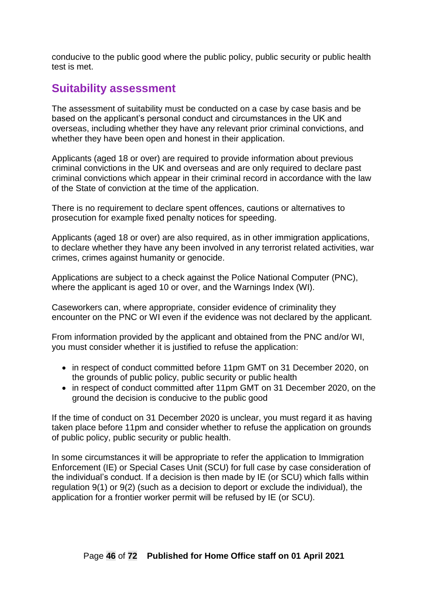conducive to the public good where the public policy, public security or public health test is met.

## <span id="page-45-0"></span>**Suitability assessment**

The assessment of suitability must be conducted on a case by case basis and be based on the applicant's personal conduct and circumstances in the UK and overseas, including whether they have any relevant prior criminal convictions, and whether they have been open and honest in their application.

Applicants (aged 18 or over) are required to provide information about previous criminal convictions in the UK and overseas and are only required to declare past criminal convictions which appear in their criminal record in accordance with the law of the State of conviction at the time of the application.

There is no requirement to declare spent offences, cautions or alternatives to prosecution for example fixed penalty notices for speeding.

Applicants (aged 18 or over) are also required, as in other immigration applications, to declare whether they have any been involved in any terrorist related activities, war crimes, crimes against humanity or genocide.

Applications are subject to a check against the Police National Computer (PNC), where the applicant is aged 10 or over, and the Warnings Index (WI).

Caseworkers can, where appropriate, consider evidence of criminality they encounter on the PNC or WI even if the evidence was not declared by the applicant.

From information provided by the applicant and obtained from the PNC and/or WI, you must consider whether it is justified to refuse the application:

- in respect of conduct committed before 11pm GMT on 31 December 2020, on the grounds of public policy, public security or public health
- in respect of conduct committed after 11pm GMT on 31 December 2020, on the ground the decision is conducive to the public good

If the time of conduct on 31 December 2020 is unclear, you must regard it as having taken place before 11pm and consider whether to refuse the application on grounds of public policy, public security or public health.

In some circumstances it will be appropriate to refer the application to Immigration Enforcement (IE) or Special Cases Unit (SCU) for full case by case consideration of the individual's conduct. If a decision is then made by IE (or SCU) which falls within regulation 9(1) or 9(2) (such as a decision to deport or exclude the individual), the application for a frontier worker permit will be refused by IE (or SCU).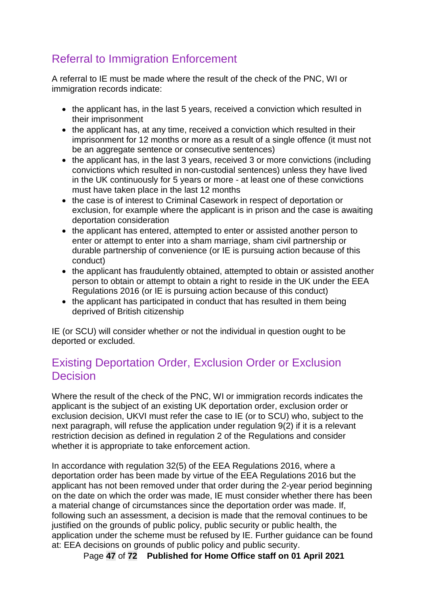# Referral to Immigration Enforcement

A referral to IE must be made where the result of the check of the PNC, WI or immigration records indicate:

- the applicant has, in the last 5 years, received a conviction which resulted in their imprisonment
- the applicant has, at any time, received a conviction which resulted in their imprisonment for 12 months or more as a result of a single offence (it must not be an aggregate sentence or consecutive sentences)
- the applicant has, in the last 3 years, received 3 or more convictions (including convictions which resulted in non-custodial sentences) unless they have lived in the UK continuously for 5 years or more - at least one of these convictions must have taken place in the last 12 months
- the case is of interest to Criminal Casework in respect of deportation or exclusion, for example where the applicant is in prison and the case is awaiting deportation consideration
- the applicant has entered, attempted to enter or assisted another person to enter or attempt to enter into a sham marriage, sham civil partnership or durable partnership of convenience (or IE is pursuing action because of this conduct)
- the applicant has fraudulently obtained, attempted to obtain or assisted another person to obtain or attempt to obtain a right to reside in the UK under the EEA Regulations 2016 (or IE is pursuing action because of this conduct)
- the applicant has participated in conduct that has resulted in them being deprived of British citizenship

IE (or SCU) will consider whether or not the individual in question ought to be deported or excluded.

## <span id="page-46-0"></span>Existing Deportation Order, Exclusion Order or Exclusion **Decision**

Where the result of the check of the PNC, WI or immigration records indicates the applicant is the subject of an existing UK deportation order, exclusion order or exclusion decision, UKVI must refer the case to IE (or to SCU) who, subject to the next paragraph, will refuse the application under regulation 9(2) if it is a relevant restriction decision as defined in regulation 2 of the Regulations and consider whether it is appropriate to take enforcement action.

In accordance with regulation 32(5) of the EEA Regulations 2016, where a deportation order has been made by virtue of the EEA Regulations 2016 but the applicant has not been removed under that order during the 2-year period beginning on the date on which the order was made, IE must consider whether there has been a material change of circumstances since the deportation order was made. If, following such an assessment, a decision is made that the removal continues to be justified on the grounds of public policy, public security or public health, the application under the scheme must be refused by IE. Further guidance can be found at: EEA decisions on grounds of public policy and public security.

Page **47** of **72 Published for Home Office staff on 01 April 2021**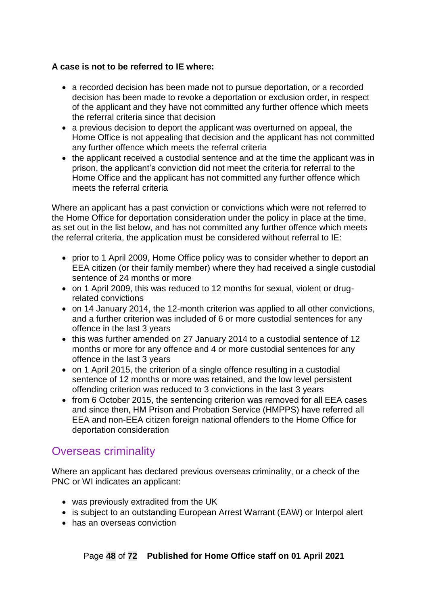#### **A case is not to be referred to IE where:**

- a recorded decision has been made not to pursue deportation, or a recorded decision has been made to revoke a deportation or exclusion order, in respect of the applicant and they have not committed any further offence which meets the referral criteria since that decision
- a previous decision to deport the applicant was overturned on appeal, the Home Office is not appealing that decision and the applicant has not committed any further offence which meets the referral criteria
- the applicant received a custodial sentence and at the time the applicant was in prison, the applicant's conviction did not meet the criteria for referral to the Home Office and the applicant has not committed any further offence which meets the referral criteria

Where an applicant has a past conviction or convictions which were not referred to the Home Office for deportation consideration under the policy in place at the time, as set out in the list below, and has not committed any further offence which meets the referral criteria, the application must be considered without referral to IE:

- prior to 1 April 2009, Home Office policy was to consider whether to deport an EEA citizen (or their family member) where they had received a single custodial sentence of 24 months or more
- on 1 April 2009, this was reduced to 12 months for sexual, violent or drugrelated convictions
- on 14 January 2014, the 12-month criterion was applied to all other convictions, and a further criterion was included of 6 or more custodial sentences for any offence in the last 3 years
- this was further amended on 27 January 2014 to a custodial sentence of 12 months or more for any offence and 4 or more custodial sentences for any offence in the last 3 years
- on 1 April 2015, the criterion of a single offence resulting in a custodial sentence of 12 months or more was retained, and the low level persistent offending criterion was reduced to 3 convictions in the last 3 years
- from 6 October 2015, the sentencing criterion was removed for all EEA cases and since then, HM Prison and Probation Service (HMPPS) have referred all EEA and non-EEA citizen foreign national offenders to the Home Office for deportation consideration

## Overseas criminality

Where an applicant has declared previous overseas criminality, or a check of the PNC or WI indicates an applicant:

- was previously extradited from the UK
- is subject to an outstanding European Arrest Warrant (EAW) or Interpol alert
- has an overseas conviction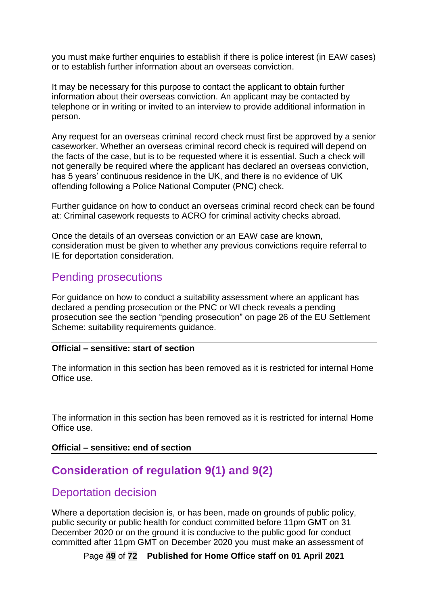you must make further enquiries to establish if there is police interest (in EAW cases) or to establish further information about an overseas conviction.

It may be necessary for this purpose to contact the applicant to obtain further information about their overseas conviction. An applicant may be contacted by telephone or in writing or invited to an interview to provide additional information in person.

Any request for an overseas criminal record check must first be approved by a senior caseworker. Whether an overseas criminal record check is required will depend on the facts of the case, but is to be requested where it is essential. Such a check will not generally be required where the applicant has declared an overseas conviction, has 5 years' continuous residence in the UK, and there is no evidence of UK offending following a Police National Computer (PNC) check.

Further guidance on how to conduct an overseas criminal record check can be found at: Criminal casework requests to ACRO for criminal activity checks abroad.

Once the details of an overseas conviction or an EAW case are known, consideration must be given to whether any previous convictions require referral to IE for deportation consideration.

## Pending prosecutions

For guidance on how to conduct a suitability assessment where an applicant has declared a pending prosecution or the PNC or WI check reveals a pending prosecution see the section "pending prosecution" on page 26 of the EU Settlement Scheme: suitability requirements quidance.

#### **Official – sensitive: start of section**

The information in this section has been removed as it is restricted for internal Home Office use.

The information in this section has been removed as it is restricted for internal Home Office use.

#### **Official – sensitive: end of section**

## **Consideration of regulation 9(1) and 9(2)**

## Deportation decision

Where a deportation decision is, or has been, made on grounds of public policy, public security or public health for conduct committed before 11pm GMT on 31 December 2020 or on the ground it is conducive to the public good for conduct committed after 11pm GMT on December 2020 you must make an assessment of

Page **49** of **72 Published for Home Office staff on 01 April 2021**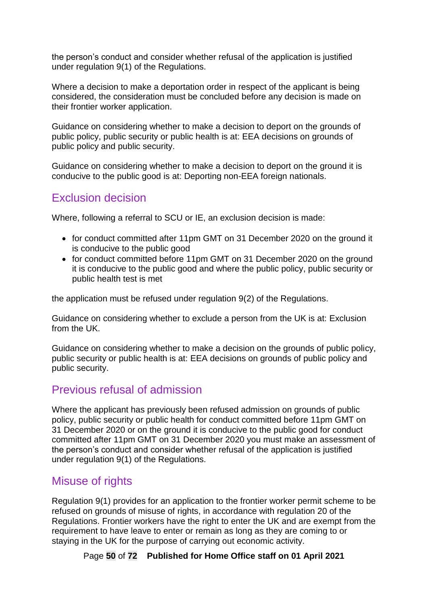the person's conduct and consider whether refusal of the application is justified under regulation 9(1) of the Regulations.

Where a decision to make a deportation order in respect of the applicant is being considered, the consideration must be concluded before any decision is made on their frontier worker application.

Guidance on considering whether to make a decision to deport on the grounds of public policy, public security or public health is at: EEA decisions on grounds of public policy and public security.

Guidance on considering whether to make a decision to deport on the ground it is conducive to the public good is at: Deporting non-EEA foreign nationals.

## Exclusion decision

Where, following a referral to SCU or IE, an exclusion decision is made:

- for conduct committed after 11pm GMT on 31 December 2020 on the ground it is conducive to the public good
- for conduct committed before 11pm GMT on 31 December 2020 on the ground it is conducive to the public good and where the public policy, public security or public health test is met

the application must be refused under regulation 9(2) of the Regulations.

Guidance on considering whether to exclude a person from the UK is at: Exclusion from the UK.

Guidance on considering whether to make a decision on the grounds of public policy, public security or public health is at: EEA decisions on grounds of public policy and public security.

## Previous refusal of admission

Where the applicant has previously been refused admission on grounds of public policy, public security or public health for conduct committed before 11pm GMT on 31 December 2020 or on the ground it is conducive to the public good for conduct committed after 11pm GMT on 31 December 2020 you must make an assessment of the person's conduct and consider whether refusal of the application is justified under regulation 9(1) of the Regulations.

## Misuse of rights

Regulation 9(1) provides for an application to the frontier worker permit scheme to be refused on grounds of misuse of rights, in accordance with regulation 20 of the Regulations. Frontier workers have the right to enter the UK and are exempt from the requirement to have leave to enter or remain as long as they are coming to or staying in the UK for the purpose of carrying out economic activity.

Page **50** of **72 Published for Home Office staff on 01 April 2021**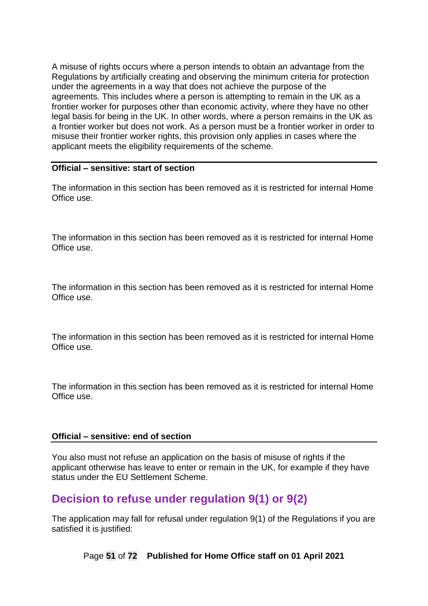A misuse of rights occurs where a person intends to obtain an advantage from the Regulations by artificially creating and observing the minimum criteria for protection under the agreements in a way that does not achieve the purpose of the agreements. This includes where a person is attempting to remain in the UK as a frontier worker for purposes other than economic activity, where they have no other legal basis for being in the UK. In other words, where a person remains in the UK as a frontier worker but does not work. As a person must be a frontier worker in order to misuse their frontier worker rights, this provision only applies in cases where the applicant meets the eligibility requirements of the scheme.

#### **Official – sensitive: start of section**

The information in this section has been removed as it is restricted for internal Home Office use.

The information in this section has been removed as it is restricted for internal Home Office use.

The information in this section has been removed as it is restricted for internal Home Office use.

The information in this section has been removed as it is restricted for internal Home Office use.

The information in this section has been removed as it is restricted for internal Home Office use.

#### **Official – sensitive: end of section**

You also must not refuse an application on the basis of misuse of rights if the applicant otherwise has leave to enter or remain in the UK, for example if they have status under the EU Settlement Scheme.

## **Decision to refuse under regulation 9(1) or 9(2)**

The application may fall for refusal under regulation 9(1) of the Regulations if you are satisfied it is justified:

Page **51** of **72 Published for Home Office staff on 01 April 2021**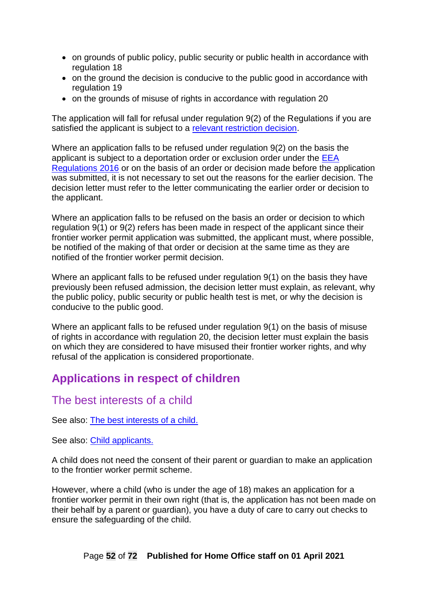- on grounds of public policy, public security or public health in accordance with regulation 18
- on the ground the decision is conducive to the public good in accordance with regulation 19
- on the grounds of misuse of rights in accordance with regulation 20

The application will fall for refusal under regulation 9(2) of the Regulations if you are satisfied the applicant is subject to a [relevant restriction decision.](#page-46-0)

Where an application falls to be refused under regulation 9(2) on the basis the applicant is subject to a deportation order or exclusion order under the [EEA](http://www.legislation.gov.uk/uksi/2016/1052/made)  [Regulations 2016](http://www.legislation.gov.uk/uksi/2016/1052/made) or on the basis of an order or decision made before the application was submitted, it is not necessary to set out the reasons for the earlier decision. The decision letter must refer to the letter communicating the earlier order or decision to the applicant.

Where an application falls to be refused on the basis an order or decision to which regulation 9(1) or 9(2) refers has been made in respect of the applicant since their frontier worker permit application was submitted, the applicant must, where possible, be notified of the making of that order or decision at the same time as they are notified of the frontier worker permit decision.

Where an applicant falls to be refused under regulation 9(1) on the basis they have previously been refused admission, the decision letter must explain, as relevant, why the public policy, public security or public health test is met, or why the decision is conducive to the public good.

Where an applicant falls to be refused under regulation 9(1) on the basis of misuse of rights in accordance with regulation 20, the decision letter must explain the basis on which they are considered to have misused their frontier worker rights, and why refusal of the application is considered proportionate.

# **Applications in respect of children**

## The best interests of a child

See also: [The best interests of a child.](#page-6-0)

See also: [Child applicants.](#page-24-0)

A child does not need the consent of their parent or guardian to make an application to the frontier worker permit scheme.

However, where a child (who is under the age of 18) makes an application for a frontier worker permit in their own right (that is, the application has not been made on their behalf by a parent or guardian), you have a duty of care to carry out checks to ensure the safeguarding of the child.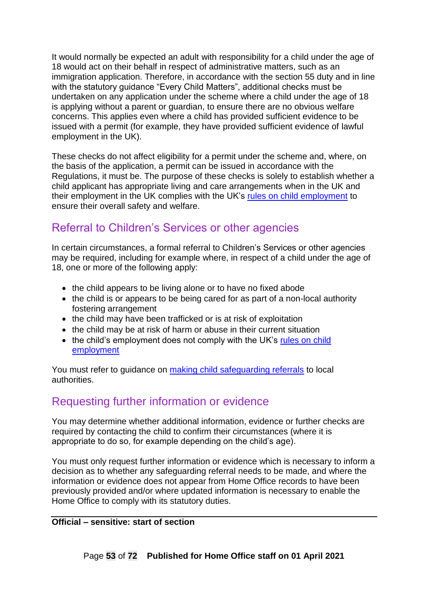It would normally be expected an adult with responsibility for a child under the age of 18 would act on their behalf in respect of administrative matters, such as an immigration application. Therefore, in accordance with the section 55 duty and in line with the statutory guidance "Every Child Matters", additional checks must be undertaken on any application under the scheme where a child under the age of 18 is applying without a parent or guardian, to ensure there are no obvious welfare concerns. This applies even where a child has provided sufficient evidence to be issued with a permit (for example, they have provided sufficient evidence of lawful employment in the UK).

These checks do not affect eligibility for a permit under the scheme and, where, on the basis of the application, a permit can be issued in accordance with the Regulations, it must be. The purpose of these checks is solely to establish whether a child applicant has appropriate living and care arrangements when in the UK and their employment in the UK complies with the UK's [rules on child employment](https://www.gov.uk/child-employment/restrictions-on-child-employment) to ensure their overall safety and welfare.

## Referral to Children's Services or other agencies

In certain circumstances, a formal referral to Children's Services or other agencies may be required, including for example where, in respect of a child under the age of 18, one or more of the following apply:

- the child appears to be living alone or to have no fixed abode
- the child is or appears to be being cared for as part of a non-local authority fostering arrangement
- the child may have been trafficked or is at risk of exploitation
- the child may be at risk of harm or abuse in their current situation
- the child's employment does not comply with the UK's rules on child [employment](https://www.gov.uk/child-employment/restrictions-on-child-employment)

You must refer to guidance on [making child safeguarding referrals](#page-54-0) to local authorities.

## Requesting further information or evidence

You may determine whether additional information, evidence or further checks are required by contacting the child to confirm their circumstances (where it is appropriate to do so, for example depending on the child's age).

You must only request further information or evidence which is necessary to inform a decision as to whether any safeguarding referral needs to be made, and where the information or evidence does not appear from Home Office records to have been previously provided and/or where updated information is necessary to enable the Home Office to comply with its statutory duties.

#### **Official – sensitive: start of section**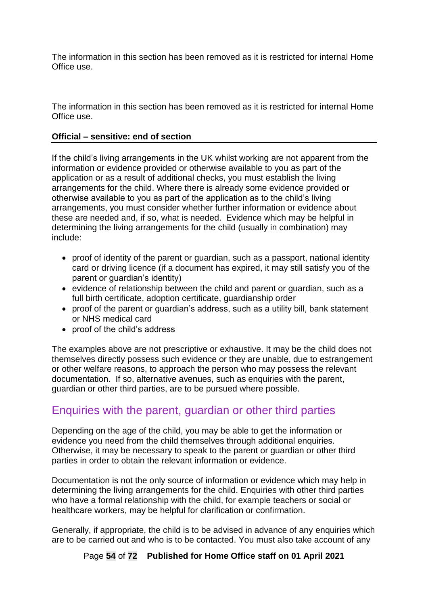The information in this section has been removed as it is restricted for internal Home Office use.

#### **Official – sensitive: end of section**

If the child's living arrangements in the UK whilst working are not apparent from the information or evidence provided or otherwise available to you as part of the application or as a result of additional checks, you must establish the living arrangements for the child. Where there is already some evidence provided or otherwise available to you as part of the application as to the child's living arrangements, you must consider whether further information or evidence about these are needed and, if so, what is needed. Evidence which may be helpful in determining the living arrangements for the child (usually in combination) may include:

- proof of identity of the parent or guardian, such as a passport, national identity card or driving licence (if a document has expired, it may still satisfy you of the parent or guardian's identity)
- evidence of relationship between the child and parent or guardian, such as a full birth certificate, adoption certificate, guardianship order
- proof of the parent or guardian's address, such as a utility bill, bank statement or NHS medical card
- proof of the child's address

The examples above are not prescriptive or exhaustive. It may be the child does not themselves directly possess such evidence or they are unable, due to estrangement or other welfare reasons, to approach the person who may possess the relevant documentation. If so, alternative avenues, such as enquiries with the parent, guardian or other third parties, are to be pursued where possible.

## Enquiries with the parent, guardian or other third parties

Depending on the age of the child, you may be able to get the information or evidence you need from the child themselves through additional enquiries. Otherwise, it may be necessary to speak to the parent or guardian or other third parties in order to obtain the relevant information or evidence.

Documentation is not the only source of information or evidence which may help in determining the living arrangements for the child. Enquiries with other third parties who have a formal relationship with the child, for example teachers or social or healthcare workers, may be helpful for clarification or confirmation.

Generally, if appropriate, the child is to be advised in advance of any enquiries which are to be carried out and who is to be contacted. You must also take account of any

Page **54** of **72 Published for Home Office staff on 01 April 2021**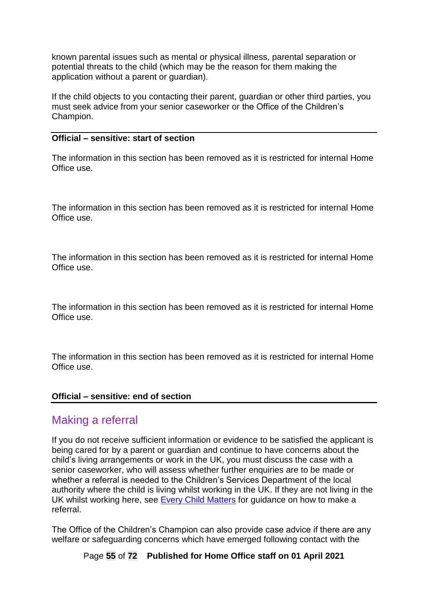known parental issues such as mental or physical illness, parental separation or potential threats to the child (which may be the reason for them making the application without a parent or guardian).

If the child objects to you contacting their parent, guardian or other third parties, you must seek advice from your senior caseworker or the Office of the Children's Champion.

#### **Official – sensitive: start of section**

The information in this section has been removed as it is restricted for internal Home Office use.

The information in this section has been removed as it is restricted for internal Home Office use.

The information in this section has been removed as it is restricted for internal Home Office use.

The information in this section has been removed as it is restricted for internal Home Office use.

The information in this section has been removed as it is restricted for internal Home Office use.

#### **Official – sensitive: end of section**

## <span id="page-54-0"></span>Making a referral

If you do not receive sufficient information or evidence to be satisfied the applicant is being cared for by a parent or guardian and continue to have concerns about the child's living arrangements or work in the UK, you must discuss the case with a senior caseworker, who will assess whether further enquiries are to be made or whether a referral is needed to the Children's Services Department of the local authority where the child is living whilst working in the UK. If they are not living in the UK whilst working here, see [Every Child Matters](https://www.gov.uk/government/publications/every-child-matters-statutory-guidance) for guidance on how to make a referral.

The Office of the Children's Champion can also provide case advice if there are any welfare or safeguarding concerns which have emerged following contact with the

Page **55** of **72 Published for Home Office staff on 01 April 2021**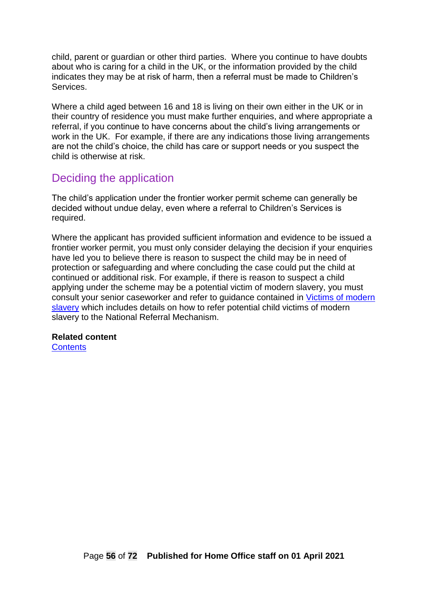child, parent or guardian or other third parties. Where you continue to have doubts about who is caring for a child in the UK, or the information provided by the child indicates they may be at risk of harm, then a referral must be made to Children's Services.

Where a child aged between 16 and 18 is living on their own either in the UK or in their country of residence you must make further enquiries, and where appropriate a referral, if you continue to have concerns about the child's living arrangements or work in the UK. For example, if there are any indications those living arrangements are not the child's choice, the child has care or support needs or you suspect the child is otherwise at risk.

## Deciding the application

The child's application under the frontier worker permit scheme can generally be decided without undue delay, even where a referral to Children's Services is required.

Where the applicant has provided sufficient information and evidence to be issued a frontier worker permit, you must only consider delaying the decision if your enquiries have led you to believe there is reason to suspect the child may be in need of protection or safeguarding and where concluding the case could put the child at continued or additional risk. For example, if there is reason to suspect a child applying under the scheme may be a potential victim of modern slavery, you must consult your senior caseworker and refer to guidance contained in [Victims of modern](https://www.gov.uk/government/publications/modern-slavery-how-to-identify-and-support-victims)  [slavery](https://www.gov.uk/government/publications/modern-slavery-how-to-identify-and-support-victims) which includes details on how to refer potential child victims of modern slavery to the National Referral Mechanism.

#### **Related content**

**[Contents](#page-1-0)**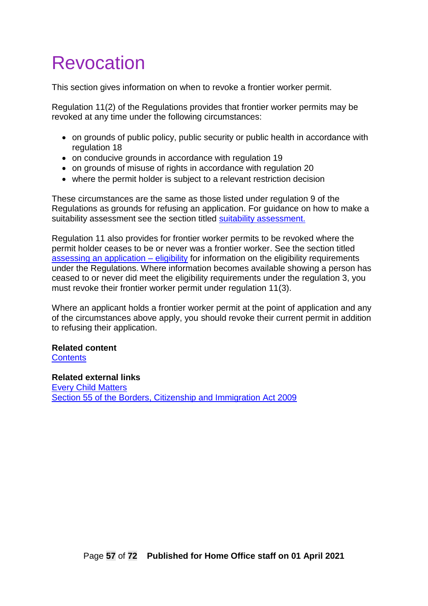# Revocation

This section gives information on when to revoke a frontier worker permit.

Regulation 11(2) of the Regulations provides that frontier worker permits may be revoked at any time under the following circumstances:

- on grounds of public policy, public security or public health in accordance with regulation 18
- on conducive grounds in accordance with regulation 19
- on grounds of misuse of rights in accordance with regulation 20
- where the permit holder is subject to a relevant restriction decision

These circumstances are the same as those listed under regulation 9 of the Regulations as grounds for refusing an application. For guidance on how to make a suitability assessment see the section titled [suitability assessment.](#page-45-0)

Regulation 11 also provides for frontier worker permits to be revoked where the permit holder ceases to be or never was a frontier worker. See the section titled [assessing an application –](#page-18-1) eligibility for information on the eligibility requirements under the Regulations. Where information becomes available showing a person has ceased to or never did meet the eligibility requirements under the regulation 3, you must revoke their frontier worker permit under regulation 11(3).

Where an applicant holds a frontier worker permit at the point of application and any of the circumstances above apply, you should revoke their current permit in addition to refusing their application.

## **Related content**

**[Contents](#page-1-0)** 

#### **Related external links**

[Every Child Matters](https://assets.publishing.service.gov.uk/government/uploads/system/uploads/attachment_data/file/257876/change-for-children.pdf) [Section 55 of the Borders, Citizenship and Immigration Act 2009](https://www.legislation.gov.uk/ukpga/2009/11/section/55)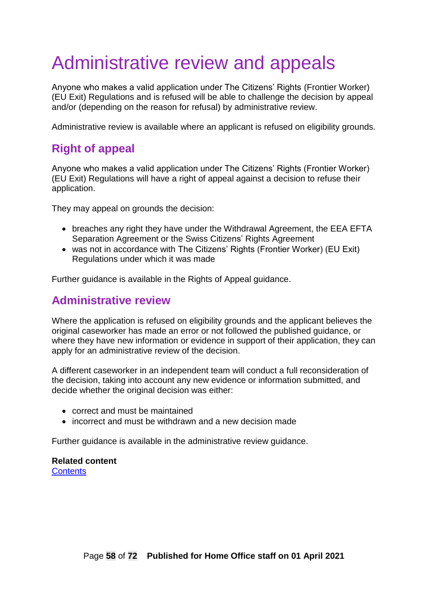# Administrative review and appeals

Anyone who makes a valid application under The Citizens' Rights (Frontier Worker) (EU Exit) Regulations and is refused will be able to challenge the decision by appeal and/or (depending on the reason for refusal) by administrative review.

Administrative review is available where an applicant is refused on eligibility grounds.

## **Right of appeal**

Anyone who makes a valid application under The Citizens' Rights (Frontier Worker) (EU Exit) Regulations will have a right of appeal against a decision to refuse their application.

They may appeal on grounds the decision:

- breaches any right they have under the Withdrawal Agreement, the EEA EFTA Separation Agreement or the Swiss Citizens' Rights Agreement
- was not in accordance with The Citizens' Rights (Frontier Worker) (EU Exit) Regulations under which it was made

Further guidance is available in the Rights of Appeal guidance.

## **Administrative review**

Where the application is refused on eligibility grounds and the applicant believes the original caseworker has made an error or not followed the published guidance, or where they have new information or evidence in support of their application, they can apply for an administrative review of the decision.

A different caseworker in an independent team will conduct a full reconsideration of the decision, taking into account any new evidence or information submitted, and decide whether the original decision was either:

- correct and must be maintained
- incorrect and must be withdrawn and a new decision made

Further guidance is available in the administrative review guidance.

#### **Related content [Contents](#page-1-0)**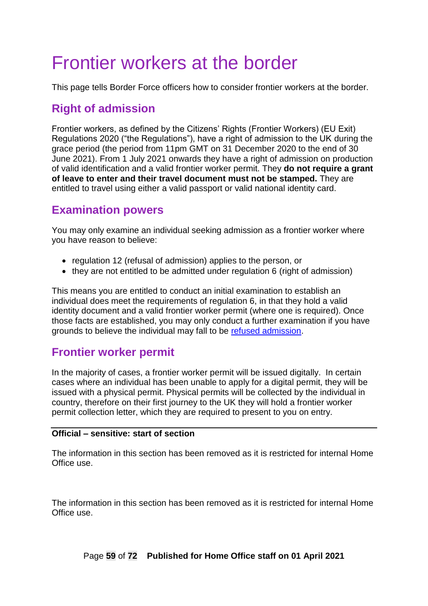# Frontier workers at the border

This page tells Border Force officers how to consider frontier workers at the border.

# **Right of admission**

Frontier workers, as defined by the Citizens' Rights (Frontier Workers) (EU Exit) Regulations 2020 ("the Regulations"), have a right of admission to the UK during the grace period (the period from 11pm GMT on 31 December 2020 to the end of 30 June 2021). From 1 July 2021 onwards they have a right of admission on production of valid identification and a valid frontier worker permit. They **do not require a grant of leave to enter and their travel document must not be stamped.** They are entitled to travel using either a valid passport or valid national identity card.

# **Examination powers**

You may only examine an individual seeking admission as a frontier worker where you have reason to believe:

- regulation 12 (refusal of admission) applies to the person, or
- they are not entitled to be admitted under regulation 6 (right of admission)

This means you are entitled to conduct an initial examination to establish an individual does meet the requirements of regulation 6, in that they hold a valid identity document and a valid frontier worker permit (where one is required). Once those facts are established, you may only conduct a further examination if you have grounds to believe the individual may fall to be [refused admission.](#page-60-0)

## **Frontier worker permit**

In the majority of cases, a frontier worker permit will be issued digitally. In certain cases where an individual has been unable to apply for a digital permit, they will be issued with a physical permit. Physical permits will be collected by the individual in country, therefore on their first journey to the UK they will hold a frontier worker permit collection letter, which they are required to present to you on entry.

#### **Official – sensitive: start of section**

The information in this section has been removed as it is restricted for internal Home Office use.

The information in this section has been removed as it is restricted for internal Home Office use.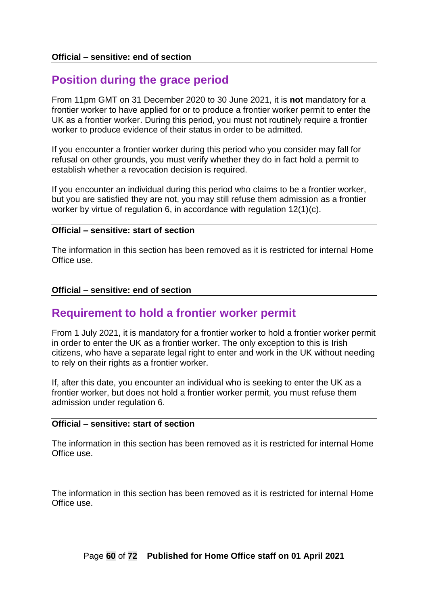# **Position during the grace period**

From 11pm GMT on 31 December 2020 to 30 June 2021, it is **not** mandatory for a frontier worker to have applied for or to produce a frontier worker permit to enter the UK as a frontier worker. During this period, you must not routinely require a frontier worker to produce evidence of their status in order to be admitted.

If you encounter a frontier worker during this period who you consider may fall for refusal on other grounds, you must verify whether they do in fact hold a permit to establish whether a revocation decision is required.

If you encounter an individual during this period who claims to be a frontier worker, but you are satisfied they are not, you may still refuse them admission as a frontier worker by virtue of regulation 6, in accordance with regulation 12(1)(c).

#### **Official – sensitive: start of section**

The information in this section has been removed as it is restricted for internal Home Office use.

#### **Official – sensitive: end of section**

## **Requirement to hold a frontier worker permit**

From 1 July 2021, it is mandatory for a frontier worker to hold a frontier worker permit in order to enter the UK as a frontier worker. The only exception to this is Irish citizens, who have a separate legal right to enter and work in the UK without needing to rely on their rights as a frontier worker.

If, after this date, you encounter an individual who is seeking to enter the UK as a frontier worker, but does not hold a frontier worker permit, you must refuse them admission under regulation 6.

#### **Official – sensitive: start of section**

The information in this section has been removed as it is restricted for internal Home Office use.

The information in this section has been removed as it is restricted for internal Home Office use.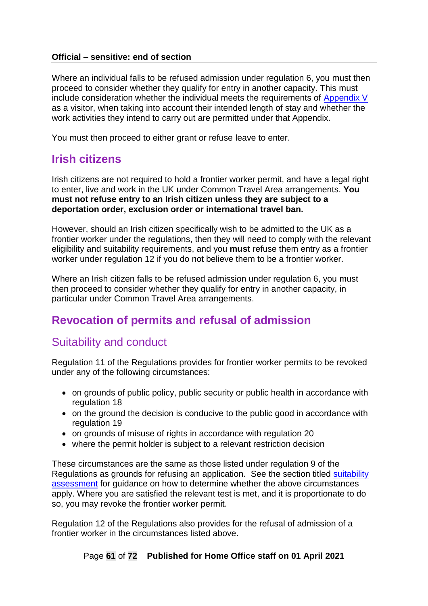#### **Official – sensitive: end of section**

Where an individual falls to be refused admission under regulation 6, you must then proceed to consider whether they qualify for entry in another capacity. This must include consideration whether the individual meets the requirements of [Appendix V](https://www.gov.uk/guidance/immigration-rules) as a visitor, when taking into account their intended length of stay and whether the work activities they intend to carry out are permitted under that Appendix.

You must then proceed to either grant or refuse leave to enter.

# **Irish citizens**

Irish citizens are not required to hold a frontier worker permit, and have a legal right to enter, live and work in the UK under Common Travel Area arrangements. **You must not refuse entry to an Irish citizen unless they are subject to a deportation order, exclusion order or international travel ban.**

However, should an Irish citizen specifically wish to be admitted to the UK as a frontier worker under the regulations, then they will need to comply with the relevant eligibility and suitability requirements, and you **must** refuse them entry as a frontier worker under regulation 12 if you do not believe them to be a frontier worker.

Where an Irish citizen falls to be refused admission under regulation 6, you must then proceed to consider whether they qualify for entry in another capacity, in particular under Common Travel Area arrangements.

# <span id="page-60-0"></span>**Revocation of permits and refusal of admission**

## Suitability and conduct

Regulation 11 of the Regulations provides for frontier worker permits to be revoked under any of the following circumstances:

- on grounds of public policy, public security or public health in accordance with regulation 18
- on the ground the decision is conducive to the public good in accordance with regulation 19
- on grounds of misuse of rights in accordance with regulation 20
- where the permit holder is subject to a relevant restriction decision

These circumstances are the same as those listed under regulation 9 of the Regulations as grounds for refusing an application. See the section titled suitability [assessment](#page-45-0) for guidance on how to determine whether the above circumstances apply. Where you are satisfied the relevant test is met, and it is proportionate to do so, you may revoke the frontier worker permit.

Regulation 12 of the Regulations also provides for the refusal of admission of a frontier worker in the circumstances listed above.

#### Page **61** of **72 Published for Home Office staff on 01 April 2021**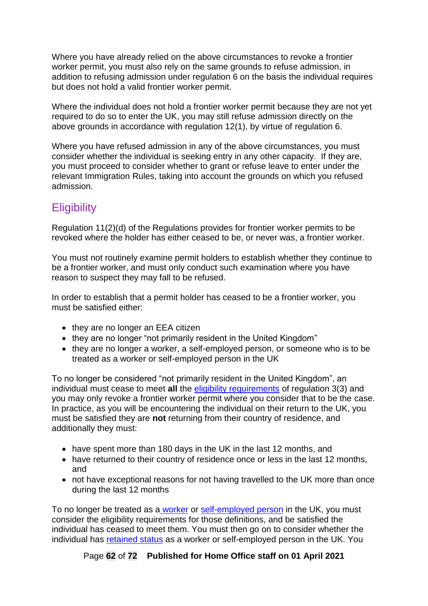Where you have already relied on the above circumstances to revoke a frontier worker permit, you must also rely on the same grounds to refuse admission, in addition to refusing admission under regulation 6 on the basis the individual requires but does not hold a valid frontier worker permit.

Where the individual does not hold a frontier worker permit because they are not yet required to do so to enter the UK, you may still refuse admission directly on the above grounds in accordance with regulation 12(1), by virtue of regulation 6.

Where you have refused admission in any of the above circumstances, you must consider whether the individual is seeking entry in any other capacity. If they are, you must proceed to consider whether to grant or refuse leave to enter under the relevant Immigration Rules, taking into account the grounds on which you refused admission.

# **Eligibility**

Regulation 11(2)(d) of the Regulations provides for frontier worker permits to be revoked where the holder has either ceased to be, or never was, a frontier worker.

You must not routinely examine permit holders to establish whether they continue to be a frontier worker, and must only conduct such examination where you have reason to suspect they may fall to be refused.

In order to establish that a permit holder has ceased to be a frontier worker, you must be satisfied either:

- they are no longer an EEA citizen
- they are no longer "not primarily resident in the United Kingdom"
- they are no longer a worker, a self-employed person, or someone who is to be treated as a worker or self-employed person in the UK

To no longer be considered "not primarily resident in the United Kingdom", an individual must cease to meet **all** the [eligibility requirements](#page-18-1) of regulation 3(3) and you may only revoke a frontier worker permit where you consider that to be the case. In practice, as you will be encountering the individual on their return to the UK, you must be satisfied they are **not** returning from their country of residence, and additionally they must:

- have spent more than 180 days in the UK in the last 12 months, and
- have returned to their country of residence once or less in the last 12 months, and
- not have exceptional reasons for not having travelled to the UK more than once during the last 12 months

To no longer be treated as a [worker](#page-24-1) or [self-employed person](#page-26-0) in the UK, you must consider the eligibility requirements for those definitions, and be satisfied the individual has ceased to meet them. You must then go on to consider whether the individual has [retained status](#page-30-0) as a worker or self-employed person in the UK. You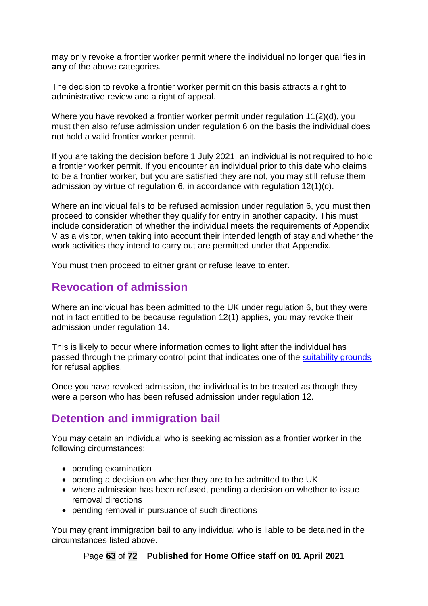may only revoke a frontier worker permit where the individual no longer qualifies in **any** of the above categories.

The decision to revoke a frontier worker permit on this basis attracts a right to administrative review and a right of appeal.

Where you have revoked a frontier worker permit under regulation 11(2)(d), you must then also refuse admission under regulation 6 on the basis the individual does not hold a valid frontier worker permit.

If you are taking the decision before 1 July 2021, an individual is not required to hold a frontier worker permit. If you encounter an individual prior to this date who claims to be a frontier worker, but you are satisfied they are not, you may still refuse them admission by virtue of regulation 6, in accordance with regulation 12(1)(c).

Where an individual falls to be refused admission under regulation 6, you must then proceed to consider whether they qualify for entry in another capacity. This must include consideration of whether the individual meets the requirements of Appendix V as a visitor, when taking into account their intended length of stay and whether the work activities they intend to carry out are permitted under that Appendix.

You must then proceed to either grant or refuse leave to enter.

## **Revocation of admission**

Where an individual has been admitted to the UK under regulation 6, but they were not in fact entitled to be because regulation 12(1) applies, you may revoke their admission under regulation 14.

This is likely to occur where information comes to light after the individual has passed through the primary control point that indicates one of the [suitability grounds](#page-45-0) for refusal applies.

Once you have revoked admission, the individual is to be treated as though they were a person who has been refused admission under regulation 12.

## **Detention and immigration bail**

You may detain an individual who is seeking admission as a frontier worker in the following circumstances:

- pending examination
- pending a decision on whether they are to be admitted to the UK
- where admission has been refused, pending a decision on whether to issue removal directions
- pending removal in pursuance of such directions

You may grant immigration bail to any individual who is liable to be detained in the circumstances listed above.

Page **63** of **72 Published for Home Office staff on 01 April 2021**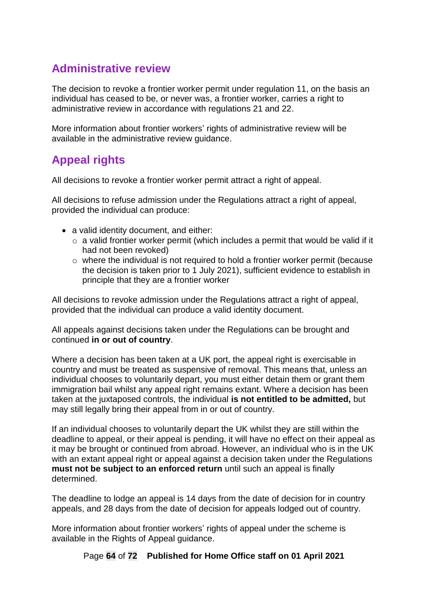# **Administrative review**

The decision to revoke a frontier worker permit under regulation 11, on the basis an individual has ceased to be, or never was, a frontier worker, carries a right to administrative review in accordance with regulations 21 and 22.

More information about frontier workers' rights of administrative review will be available in the administrative review guidance.

# **Appeal rights**

All decisions to revoke a frontier worker permit attract a right of appeal.

All decisions to refuse admission under the Regulations attract a right of appeal, provided the individual can produce:

- a valid identity document, and either:
	- $\circ$  a valid frontier worker permit (which includes a permit that would be valid if it had not been revoked)
	- o where the individual is not required to hold a frontier worker permit (because the decision is taken prior to 1 July 2021), sufficient evidence to establish in principle that they are a frontier worker

All decisions to revoke admission under the Regulations attract a right of appeal, provided that the individual can produce a valid identity document.

All appeals against decisions taken under the Regulations can be brought and continued **in or out of country**.

Where a decision has been taken at a UK port, the appeal right is exercisable in country and must be treated as suspensive of removal. This means that, unless an individual chooses to voluntarily depart, you must either detain them or grant them immigration bail whilst any appeal right remains extant. Where a decision has been taken at the juxtaposed controls, the individual **is not entitled to be admitted,** but may still legally bring their appeal from in or out of country.

If an individual chooses to voluntarily depart the UK whilst they are still within the deadline to appeal, or their appeal is pending, it will have no effect on their appeal as it may be brought or continued from abroad. However, an individual who is in the UK with an extant appeal right or appeal against a decision taken under the Regulations **must not be subject to an enforced return** until such an appeal is finally determined.

The deadline to lodge an appeal is 14 days from the date of decision for in country appeals, and 28 days from the date of decision for appeals lodged out of country.

More information about frontier workers' rights of appeal under the scheme is available in the Rights of Appeal guidance.

Page **64** of **72 Published for Home Office staff on 01 April 2021**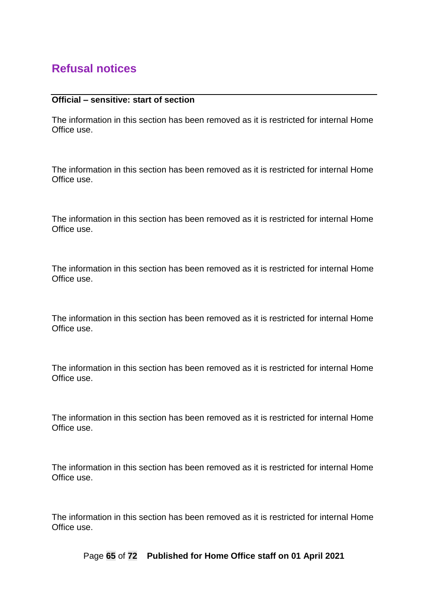## **Refusal notices**

#### **Official – sensitive: start of section**

The information in this section has been removed as it is restricted for internal Home Office use.

The information in this section has been removed as it is restricted for internal Home Office use.

The information in this section has been removed as it is restricted for internal Home Office use.

The information in this section has been removed as it is restricted for internal Home Office use.

The information in this section has been removed as it is restricted for internal Home Office use.

The information in this section has been removed as it is restricted for internal Home Office use.

The information in this section has been removed as it is restricted for internal Home Office use.

The information in this section has been removed as it is restricted for internal Home Office use.

The information in this section has been removed as it is restricted for internal Home Office use.

Page **65** of **72 Published for Home Office staff on 01 April 2021**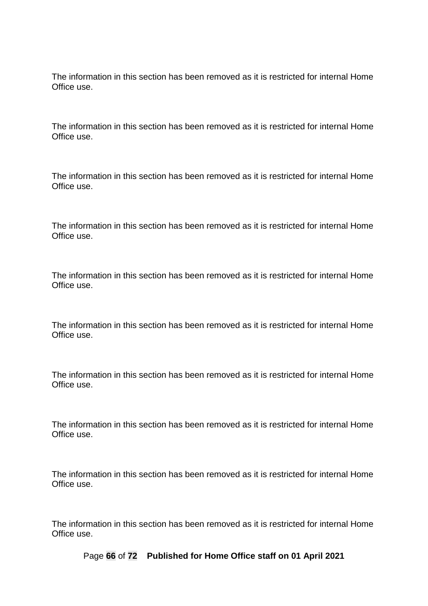The information in this section has been removed as it is restricted for internal Home Office use.

The information in this section has been removed as it is restricted for internal Home Office use.

The information in this section has been removed as it is restricted for internal Home Office use.

The information in this section has been removed as it is restricted for internal Home Office use.

The information in this section has been removed as it is restricted for internal Home Office use.

The information in this section has been removed as it is restricted for internal Home Office use.

The information in this section has been removed as it is restricted for internal Home Office use.

The information in this section has been removed as it is restricted for internal Home Office use.

The information in this section has been removed as it is restricted for internal Home Office use.

Page **66** of **72 Published for Home Office staff on 01 April 2021**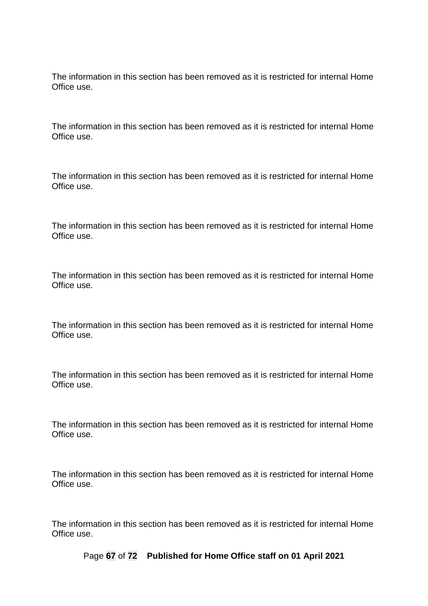The information in this section has been removed as it is restricted for internal Home Office use.

The information in this section has been removed as it is restricted for internal Home Office use.

The information in this section has been removed as it is restricted for internal Home Office use.

The information in this section has been removed as it is restricted for internal Home Office use.

The information in this section has been removed as it is restricted for internal Home Office use.

The information in this section has been removed as it is restricted for internal Home Office use.

The information in this section has been removed as it is restricted for internal Home Office use.

The information in this section has been removed as it is restricted for internal Home Office use.

The information in this section has been removed as it is restricted for internal Home Office use.

Page **67** of **72 Published for Home Office staff on 01 April 2021**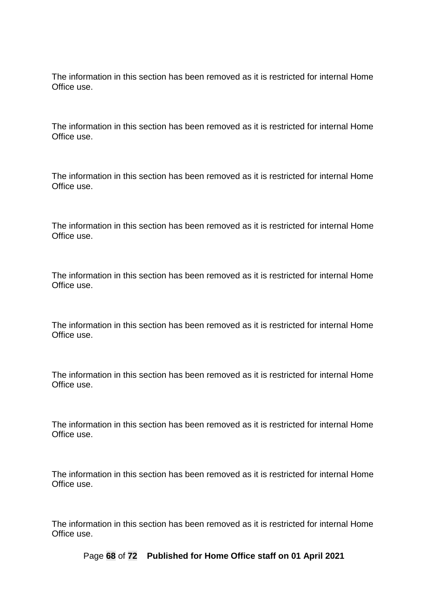The information in this section has been removed as it is restricted for internal Home Office use.

The information in this section has been removed as it is restricted for internal Home Office use.

The information in this section has been removed as it is restricted for internal Home Office use.

The information in this section has been removed as it is restricted for internal Home Office use.

The information in this section has been removed as it is restricted for internal Home Office use.

The information in this section has been removed as it is restricted for internal Home Office use.

The information in this section has been removed as it is restricted for internal Home Office use.

The information in this section has been removed as it is restricted for internal Home Office use.

The information in this section has been removed as it is restricted for internal Home Office use.

Page **68** of **72 Published for Home Office staff on 01 April 2021**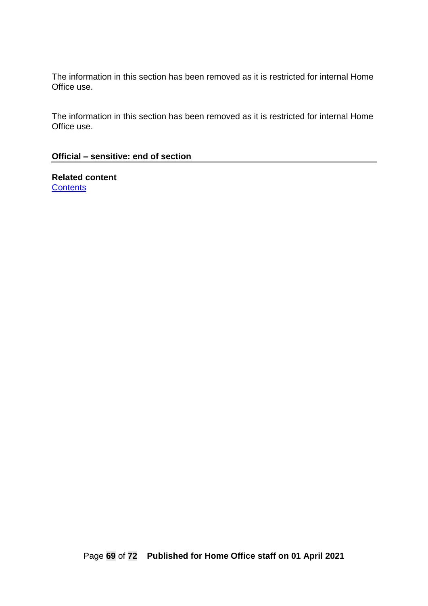The information in this section has been removed as it is restricted for internal Home Office use.

#### **Official – sensitive: end of section**

**Related content [Contents](#page-1-0)**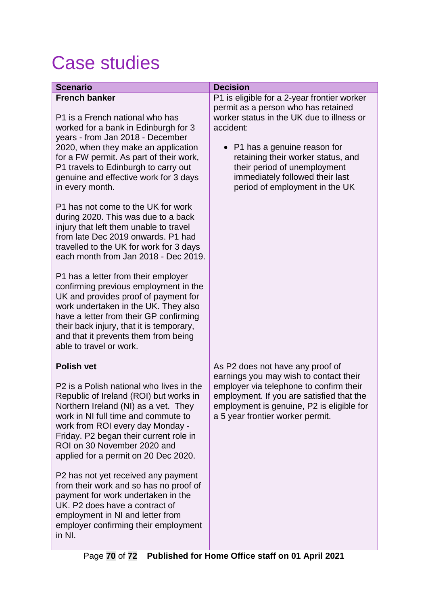# Case studies

| <b>Scenario</b>                                                                                                                                                                                                                                                                                                        | <b>Decision</b>                                                                                                                                                          |
|------------------------------------------------------------------------------------------------------------------------------------------------------------------------------------------------------------------------------------------------------------------------------------------------------------------------|--------------------------------------------------------------------------------------------------------------------------------------------------------------------------|
| <b>French banker</b>                                                                                                                                                                                                                                                                                                   | P1 is eligible for a 2-year frontier worker<br>permit as a person who has retained                                                                                       |
| P1 is a French national who has<br>worked for a bank in Edinburgh for 3                                                                                                                                                                                                                                                | worker status in the UK due to illness or<br>accident:                                                                                                                   |
| years - from Jan 2018 - December<br>2020, when they make an application<br>for a FW permit. As part of their work,<br>P1 travels to Edinburgh to carry out<br>genuine and effective work for 3 days<br>in every month.                                                                                                 | • P1 has a genuine reason for<br>retaining their worker status, and<br>their period of unemployment<br>immediately followed their last<br>period of employment in the UK |
| P1 has not come to the UK for work<br>during 2020. This was due to a back<br>injury that left them unable to travel<br>from late Dec 2019 onwards. P1 had<br>travelled to the UK for work for 3 days<br>each month from Jan 2018 - Dec 2019.                                                                           |                                                                                                                                                                          |
| P1 has a letter from their employer<br>confirming previous employment in the<br>UK and provides proof of payment for<br>work undertaken in the UK. They also<br>have a letter from their GP confirming<br>their back injury, that it is temporary,<br>and that it prevents them from being<br>able to travel or work.  |                                                                                                                                                                          |
| <b>Polish vet</b>                                                                                                                                                                                                                                                                                                      | As P2 does not have any proof of<br>earnings you may wish to contact their                                                                                               |
| P2 is a Polish national who lives in the<br>Republic of Ireland (ROI) but works in<br>Northern Ireland (NI) as a vet. They<br>work in NI full time and commute to<br>work from ROI every day Monday -<br>Friday. P2 began their current role in<br>ROI on 30 November 2020 and<br>applied for a permit on 20 Dec 2020. | employer via telephone to confirm their<br>employment. If you are satisfied that the<br>employment is genuine, P2 is eligible for<br>a 5 year frontier worker permit.    |
| P2 has not yet received any payment<br>from their work and so has no proof of<br>payment for work undertaken in the<br>UK. P2 does have a contract of<br>employment in NI and letter from<br>employer confirming their employment<br>in NI.                                                                            |                                                                                                                                                                          |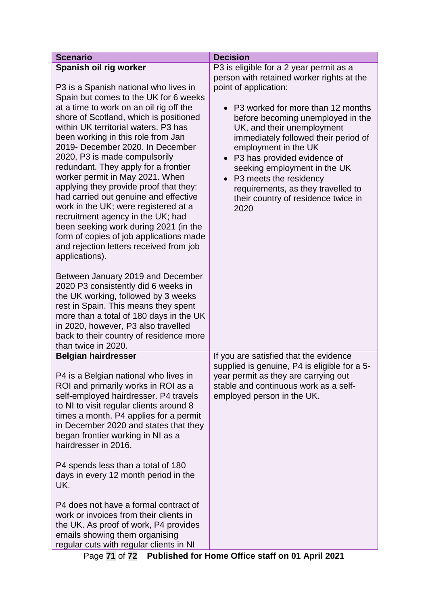| <b>Scenario</b>                                                                                                                                                                                                                                                                                                                                                                                                                                                                                                                                                                                                                                                                                                                                                                                                                                                                                                                                                                                                                                             | <b>Decision</b>                                                                                                                                                                                                                                                                                                                                                                                                                                                                                            |
|-------------------------------------------------------------------------------------------------------------------------------------------------------------------------------------------------------------------------------------------------------------------------------------------------------------------------------------------------------------------------------------------------------------------------------------------------------------------------------------------------------------------------------------------------------------------------------------------------------------------------------------------------------------------------------------------------------------------------------------------------------------------------------------------------------------------------------------------------------------------------------------------------------------------------------------------------------------------------------------------------------------------------------------------------------------|------------------------------------------------------------------------------------------------------------------------------------------------------------------------------------------------------------------------------------------------------------------------------------------------------------------------------------------------------------------------------------------------------------------------------------------------------------------------------------------------------------|
| Spanish oil rig worker<br>P3 is a Spanish national who lives in<br>Spain but comes to the UK for 6 weeks<br>at a time to work on an oil rig off the<br>shore of Scotland, which is positioned<br>within UK territorial waters. P3 has<br>been working in this role from Jan<br>2019- December 2020. In December<br>2020, P3 is made compulsorily<br>redundant. They apply for a frontier<br>worker permit in May 2021. When<br>applying they provide proof that they:<br>had carried out genuine and effective<br>work in the UK; were registered at a<br>recruitment agency in the UK; had<br>been seeking work during 2021 (in the<br>form of copies of job applications made<br>and rejection letters received from job<br>applications).<br>Between January 2019 and December<br>2020 P3 consistently did 6 weeks in<br>the UK working, followed by 3 weeks<br>rest in Spain. This means they spent<br>more than a total of 180 days in the UK<br>in 2020, however, P3 also travelled<br>back to their country of residence more<br>than twice in 2020. | P3 is eligible for a 2 year permit as a<br>person with retained worker rights at the<br>point of application:<br>P3 worked for more than 12 months<br>$\bullet$<br>before becoming unemployed in the<br>UK, and their unemployment<br>immediately followed their period of<br>employment in the UK<br>P3 has provided evidence of<br>$\bullet$<br>seeking employment in the UK<br>P3 meets the residency<br>$\bullet$<br>requirements, as they travelled to<br>their country of residence twice in<br>2020 |
| <b>Belgian hairdresser</b><br>P4 is a Belgian national who lives in<br>ROI and primarily works in ROI as a<br>self-employed hairdresser. P4 travels<br>to NI to visit regular clients around 8<br>times a month. P4 applies for a permit<br>in December 2020 and states that they<br>began frontier working in NI as a<br>hairdresser in 2016.<br>P4 spends less than a total of 180<br>days in every 12 month period in the<br>UK.<br>P4 does not have a formal contract of<br>work or invoices from their clients in<br>the UK. As proof of work, P4 provides<br>emails showing them organising<br>regular cuts with regular clients in NI                                                                                                                                                                                                                                                                                                                                                                                                                | If you are satisfied that the evidence<br>supplied is genuine, P4 is eligible for a 5-<br>year permit as they are carrying out<br>stable and continuous work as a self-<br>employed person in the UK.                                                                                                                                                                                                                                                                                                      |